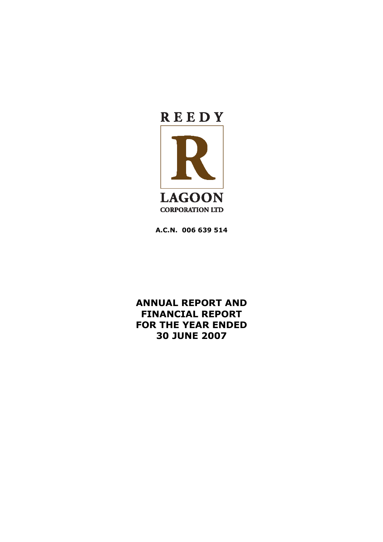

**A.C.N. 006 639 514**

**ANNUAL REPORT AND FINANCIAL REPORT FOR THE YEAR ENDED 30 JUNE 2007**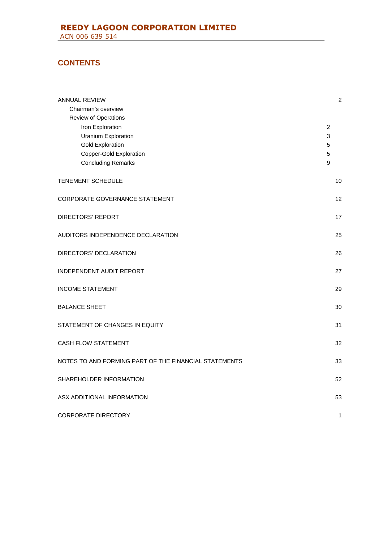# **CONTENTS**

| <b>ANNUAL REVIEW</b>                                  |                | $\overline{c}$ |
|-------------------------------------------------------|----------------|----------------|
| Chairman's overview<br>Review of Operations           |                |                |
| Iron Exploration                                      | $\overline{c}$ |                |
| <b>Uranium Exploration</b>                            | $\mathbf{3}$   |                |
| <b>Gold Exploration</b>                               | 5              |                |
| Copper-Gold Exploration                               | 5              |                |
| <b>Concluding Remarks</b>                             | 9              |                |
|                                                       |                |                |
| <b>TENEMENT SCHEDULE</b>                              |                | 10             |
| CORPORATE GOVERNANCE STATEMENT                        |                | 12             |
| <b>DIRECTORS' REPORT</b>                              |                | 17             |
| AUDITORS INDEPENDENCE DECLARATION                     |                | 25             |
| DIRECTORS' DECLARATION                                |                | 26             |
|                                                       |                |                |
| <b>INDEPENDENT AUDIT REPORT</b>                       |                | 27             |
| <b>INCOME STATEMENT</b>                               |                | 29             |
| <b>BALANCE SHEET</b>                                  |                | 30             |
| STATEMENT OF CHANGES IN EQUITY                        |                | 31             |
| <b>CASH FLOW STATEMENT</b>                            |                | 32             |
| NOTES TO AND FORMING PART OF THE FINANCIAL STATEMENTS |                | 33             |
| SHAREHOLDER INFORMATION                               |                | 52             |
| ASX ADDITIONAL INFORMATION                            |                | 53             |
| <b>CORPORATE DIRECTORY</b>                            |                | 1              |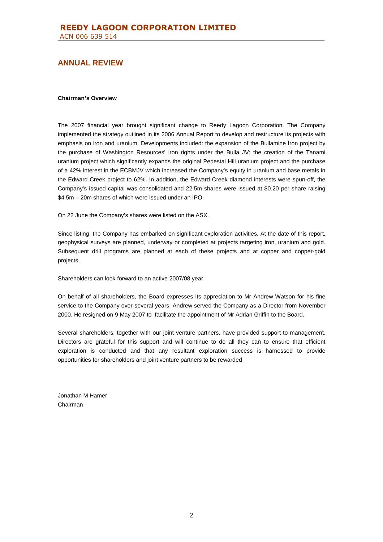#### **Chairman's Overview**

The 2007 financial year brought significant change to Reedy Lagoon Corporation. The Company implemented the strategy outlined in its 2006 Annual Report to develop and restructure its projects with emphasis on iron and uranium. Developments included: the expansion of the Bullamine Iron project by the purchase of Washington Resources' iron rights under the Bulla JV; the creation of the Tanami uranium project which significantly expands the original Pedestal Hill uranium project and the purchase of a 42% interest in the ECBMJV which increased the Company's equity in uranium and base metals in the Edward Creek project to 62%. In addition, the Edward Creek diamond interests were spun-off, the Company's issued capital was consolidated and 22.5m shares were issued at \$0.20 per share raising \$4.5m – 20m shares of which were issued under an IPO.

On 22 June the Company's shares were listed on the ASX.

Since listing, the Company has embarked on significant exploration activities. At the date of this report, geophysical surveys are planned, underway or completed at projects targeting iron, uranium and gold. Subsequent drill programs are planned at each of these projects and at copper and copper-gold projects.

Shareholders can look forward to an active 2007/08 year.

On behalf of all shareholders, the Board expresses its appreciation to Mr Andrew Watson for his fine service to the Company over several years. Andrew served the Company as a Director from November 2000. He resigned on 9 May 2007 to facilitate the appointment of Mr Adrian Griffin to the Board.

Several shareholders, together with our joint venture partners, have provided support to management. Directors are grateful for this support and will continue to do all they can to ensure that efficient exploration is conducted and that any resultant exploration success is harnessed to provide opportunities for shareholders and joint venture partners to be rewarded

Jonathan M Hamer Chairman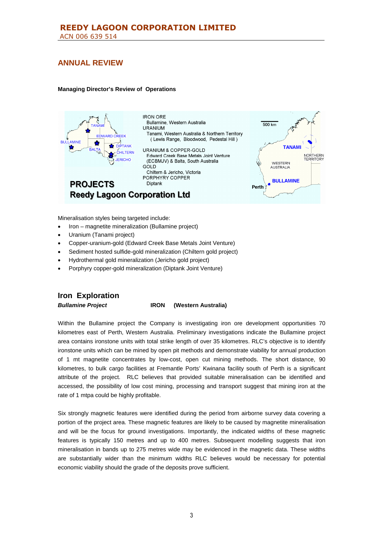### **Managing Director's Review of Operations**



Mineralisation styles being targeted include:

- Iron magnetite mineralization (Bullamine project)
- Uranium (Tanami project)
- Copper-uranium-gold (Edward Creek Base Metals Joint Venture)
- Sediment hosted sulfide-gold mineralization (Chiltern gold project)
- Hydrothermal gold mineralization (Jericho gold project)
- Porphyry copper-gold mineralization (Diptank Joint Venture)

# **Iron Exploration**

*Bullamine Project* **IRON (Western Australia)**

Within the Bullamine project the Company is investigating iron ore development opportunities 70 kilometres east of Perth, Western Australia. Preliminary investigations indicate the Bullamine project area contains ironstone units with total strike length of over 35 kilometres. RLC's objective is to identify ironstone units which can be mined by open pit methods and demonstrate viability for annual production of 1 mt magnetite concentrates by low-cost, open cut mining methods. The short distance, 90 kilometres, to bulk cargo facilities at Fremantle Ports' Kwinana facility south of Perth is a significant attribute of the project. RLC believes that provided suitable mineralisation can be identified and accessed, the possibility of low cost mining, processing and transport suggest that mining iron at the rate of 1 mtpa could be highly profitable.

Six strongly magnetic features were identified during the period from airborne survey data covering a portion of the project area. These magnetic features are likely to be caused by magnetite mineralisation and will be the focus for ground investigations. Importantly, the indicated widths of these magnetic features is typically 150 metres and up to 400 metres. Subsequent modelling suggests that iron mineralisation in bands up to 275 metres wide may be evidenced in the magnetic data. These widths are substantially wider than the minimum widths RLC believes would be necessary for potential economic viability should the grade of the deposits prove sufficient.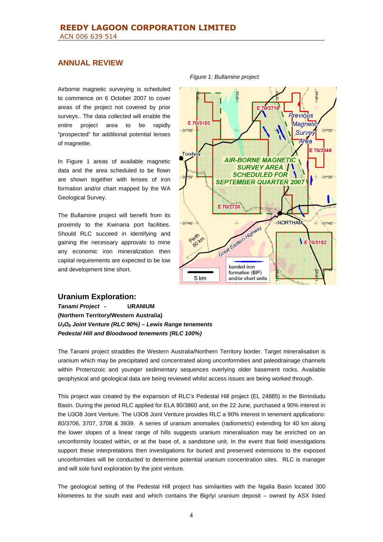Airborne magnetic surveying is scheduled to commence on 6 October 2007 to cover areas of the project not covered by prior surveys.. The data collected will enable the entire project area to be rapidly "prospected" for additional potential lenses of magnetite.

In Figure 1 areas of available magnetic data and the area scheduled to be flown are shown together with lenses of iron formation and/or chart mapped by the WA Geological Survey.

The Bullamine project will benefit from its proximity to the Kwinana port facilities. Should RLC succeed in identifying and gaining the necessary approvals to mine any economic iron mineralization then capital requirements are expected to be low and development time short.





## **Uranium Exploration:**

*Tanami Project* **- URANIUM (Northern Territory/Western Australia)** *U3O<sup>8</sup> Joint Venture (RLC 90%) – Lewis Range tenements Pedestal Hill and Bloodwood tenements (RLC 100%)*

The Tanami project straddles the Western Australia/Northern Territory border. Target mineralisation is uranium which may be precipitated and concentrated along unconformities and paleodrainage channels within Proterozoic and younger sedimentary sequences overlying older basement rocks. Available geophysical and geological data are being reviewed whilst access issues are being worked through.

This project was created by the expansion of RLC's Pedestal Hill project (EL 24885) in the Birrindudu Basin. During the period RLC applied for ELA 80/3860 and, on the 22 June, purchased a 90% interest in the U3O8 Joint Venture. The U3O8 Joint Venture provides RLC a 90% interest in tenement applications: 80/3706, 3707, 3708 & 3939. A series of uranium anomalies (radiometric) extending for 40 km along the lower slopes of a linear range of hills suggests uranium mineralisation may be enriched on an unconformity located within, or at the base of, a sandstone unit. In the event that field investigations support these interpretations then investigations for buried and preserved extensions to the exposed unconformities will be conducted to determine potential uranium concentration sites. RLC is manager and will sole fund exploration by the joint venture.

The geological setting of the Pedestal Hill project has similarities with the Ngalia Basin located 300 kilometres to the south east and which contains the Bigrlyi uranium deposit – owned by ASX listed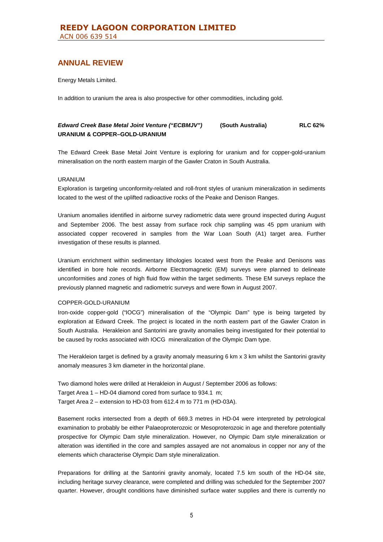Energy Metals Limited.

In addition to uranium the area is also prospective for other commodities, including gold.

## *Edward Creek Base Metal Joint Venture ("ECBMJV")* **(South Australia) RLC 62% URANIUM & COPPER–GOLD-URANIUM**

The Edward Creek Base Metal Joint Venture is exploring for uranium and for copper-gold-uranium mineralisation on the north eastern margin of the Gawler Craton in South Australia.

### URANIUM

Exploration is targeting unconformity-related and roll-front styles of uranium mineralization in sediments located to the west of the uplifted radioactive rocks of the Peake and Denison Ranges.

Uranium anomalies identified in airborne survey radiometric data were ground inspected during August and September 2006. The best assay from surface rock chip sampling was 45 ppm uranium with associated copper recovered in samples from the War Loan South (A1) target area. Further investigation of these results is planned.

Uranium enrichment within sedimentary lithologies located west from the Peake and Denisons was identified in bore hole records. Airborne Electromagnetic (EM) surveys were planned to delineate unconformities and zones of high fluid flow within the target sediments. These EM surveys replace the previously planned magnetic and radiometric surveys and were flown in August 2007.

### COPPER-GOLD-URANIUM

Iron-oxide copper-gold ("IOCG") mineralisation of the "Olympic Dam" type is being targeted by exploration at Edward Creek. The project is located in the north eastern part of the Gawler Craton in South Australia. Herakleion and Santorini are gravity anomalies being investigated for their potential to be caused by rocks associated with IOCG mineralization of the Olympic Dam type.

The Herakleion target is defined by a gravity anomaly measuring 6 km x 3 km whilst the Santorini gravity anomaly measures 3 km diameter in the horizontal plane.

Two diamond holes were drilled at Herakleion in August / September 2006 as follows: Target Area 1 – HD-04 diamond cored from surface to 934.1 m; Target Area 2 – extension to HD-03 from 612.4 m to 771 m (HD-03A).

Basement rocks intersected from a depth of 669.3 metres in HD-04 were interpreted by petrological examination to probably be either Palaeoproterozoic or Mesoproterozoic in age and therefore potentially prospective for Olympic Dam style mineralization. However, no Olympic Dam style mineralization or alteration was identified in the core and samples assayed are not anomalous in copper nor any of the elements which characterise Olympic Dam style mineralization.

Preparations for drilling at the Santorini gravity anomaly, located 7.5 km south of the HD-04 site, including heritage survey clearance, were completed and drilling was scheduled for the September 2007 quarter. However, drought conditions have diminished surface water supplies and there is currently no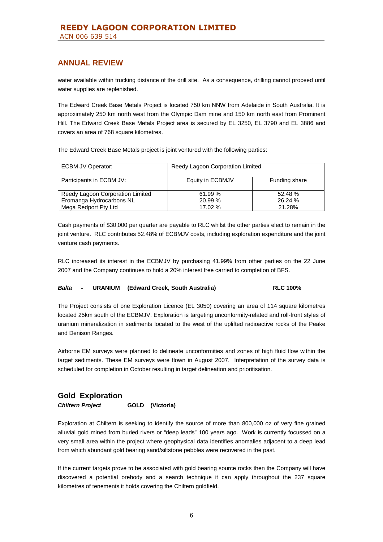water available within trucking distance of the drill site. As a consequence, drilling cannot proceed until water supplies are replenished.

The Edward Creek Base Metals Project is located 750 km NNW from Adelaide in South Australia. It is approximately 250 km north west from the Olympic Dam mine and 150 km north east from Prominent Hill. The Edward Creek Base Metals Project area is secured by EL 3250, EL 3790 and EL 3886 and covers an area of 768 square kilometres.

The Edward Creek Base Metals project is joint ventured with the following parties:

| ECBM JV Operator:                | Reedy Lagoon Corporation Limited |               |  |
|----------------------------------|----------------------------------|---------------|--|
| Participants in ECBM JV:         | Equity in ECBMJV                 | Funding share |  |
| Reedy Lagoon Corporation Limited | 61.99 %                          | 52.48%        |  |
| Eromanga Hydrocarbons NL         | 20.99 %                          | 26.24 %       |  |
| Mega Redport Pty Ltd             | 17.02 %                          | 21.28%        |  |

Cash payments of \$30,000 per quarter are payable to RLC whilst the other parties elect to remain in the joint venture. RLC contributes 52.48% of ECBMJV costs, including exploration expenditure and the joint venture cash payments.

RLC increased its interest in the ECBMJV by purchasing 41.99% from other parties on the 22 June 2007 and the Company continues to hold a 20% interest free carried to completion of BFS.

### *Balta* **- URANIUM (Edward Creek, South Australia) RLC 100%**

The Project consists of one Exploration Licence (EL 3050) covering an area of 114 square kilometres located 25km south of the ECBMJV. Exploration is targeting unconformity-related and roll-front styles of uranium mineralization in sediments located to the west of the uplifted radioactive rocks of the Peake and Denison Ranges.

Airborne EM surveys were planned to delineate unconformities and zones of high fluid flow within the target sediments. These EM surveys were flown in August 2007. Interpretation of the survey data is scheduled for completion in October resulting in target delineation and prioritisation.

## **Gold Exploration**

*Chiltern Project* **GOLD (Victoria)**

Exploration at Chiltern is seeking to identify the source of more than 800,000 oz of very fine grained alluvial gold mined from buried rivers or "deep leads" 100 years ago. Work is currently focussed on a very small area within the project where geophysical data identifies anomalies adjacent to a deep lead from which abundant gold bearing sand/siltstone pebbles were recovered in the past.

If the current targets prove to be associated with gold bearing source rocks then the Company will have discovered a potential orebody and a search technique it can apply throughout the 237 square kilometres of tenements it holds covering the Chiltern goldfield.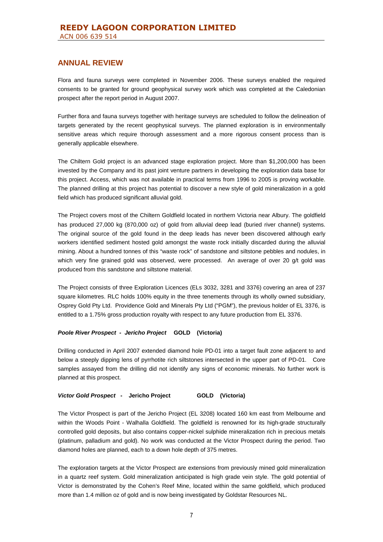Flora and fauna surveys were completed in November 2006. These surveys enabled the required consents to be granted for ground geophysical survey work which was completed at the Caledonian prospect after the report period in August 2007.

Further flora and fauna surveys together with heritage surveys are scheduled to follow the delineation of targets generated by the recent geophysical surveys. The planned exploration is in environmentally sensitive areas which require thorough assessment and a more rigorous consent process than is generally applicable elsewhere.

The Chiltern Gold project is an advanced stage exploration project. More than \$1,200,000 has been invested by the Company and its past joint venture partners in developing the exploration data base for this project. Access, which was not available in practical terms from 1996 to 2005 is proving workable. The planned drilling at this project has potential to discover a new style of gold mineralization in a gold field which has produced significant alluvial gold.

The Project covers most of the Chiltern Goldfield located in northern Victoria near Albury. The goldfield has produced 27,000 kg (870,000 oz) of gold from alluvial deep lead (buried river channel) systems. The original source of the gold found in the deep leads has never been discovered although early workers identified sediment hosted gold amongst the waste rock initially discarded during the alluvial mining. About a hundred tonnes of this "waste rock" of sandstone and siltstone pebbles and nodules, in which very fine grained gold was observed, were processed. An average of over 20 g/t gold was produced from this sandstone and siltstone material.

The Project consists of three Exploration Licences (ELs 3032, 3281 and 3376) covering an area of 237 square kilometres. RLC holds 100% equity in the three tenements through its wholly owned subsidiary, Osprey Gold Pty Ltd. Providence Gold and Minerals Pty Ltd ("PGM"), the previous holder of EL 3376, is entitled to a 1.75% gross production royalty with respect to any future production from EL 3376.

#### *Poole River Prospect - Jericho Project* **GOLD (Victoria)**

Drilling conducted in April 2007 extended diamond hole PD-01 into a target fault zone adjacent to and below a steeply dipping lens of pyrrhotite rich siltstones intersected in the upper part of PD-01. Core samples assayed from the drilling did not identify any signs of economic minerals. No further work is planned at this prospect.

### *Victor Gold Prospect* **- Jericho Project GOLD (Victoria)**

The Victor Prospect is part of the Jericho Project (EL 3208) located 160 km east from Melbourne and within the Woods Point - Walhalla Goldfield. The goldfield is renowned for its high-grade structurally controlled gold deposits, but also contains copper-nickel sulphide mineralization rich in precious metals (platinum, palladium and gold). No work was conducted at the Victor Prospect during the period. Two diamond holes are planned, each to a down hole depth of 375 metres.

The exploration targets at the Victor Prospect are extensions from previously mined gold mineralization in a quartz reef system. Gold mineralization anticipated is high grade vein style. The gold potential of Victor is demonstrated by the Cohen's Reef Mine, located within the same goldfield, which produced more than 1.4 million oz of gold and is now being investigated by Goldstar Resources NL.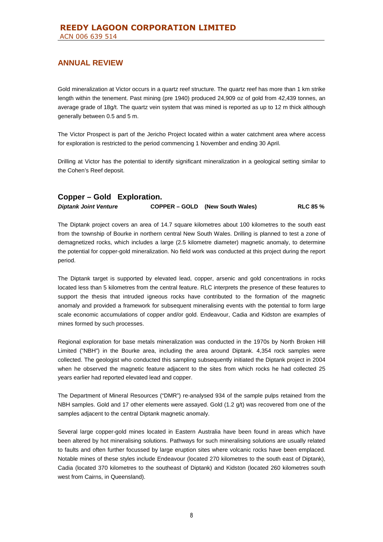Gold mineralization at Victor occurs in a quartz reef structure. The quartz reef has more than 1 km strike length within the tenement. Past mining (pre 1940) produced 24,909 oz of gold from 42,439 tonnes, an average grade of 18g/t. The quartz vein system that was mined is reported as up to 12 m thick although generally between 0.5 and 5 m.

The Victor Prospect is part of the Jericho Project located within a water catchment area where access for exploration is restricted to the period commencing 1 November and ending 30 April.

Drilling at Victor has the potential to identify significant mineralization in a geological setting similar to the Cohen's Reef deposit.

| Copper – Gold Exploration.   |                                        |          |
|------------------------------|----------------------------------------|----------|
| <b>Diptank Joint Venture</b> | <b>COPPER – GOLD</b> (New South Wales) | RLC 85 % |

The Diptank project covers an area of 14.7 square kilometres about 100 kilometres to the south east from the township of Bourke in northern central New South Wales. Drilling is planned to test a zone of demagnetized rocks, which includes a large (2.5 kilometre diameter) magnetic anomaly, to determine the potential for copper-gold mineralization. No field work was conducted at this project during the report period.

The Diptank target is supported by elevated lead, copper, arsenic and gold concentrations in rocks located less than 5 kilometres from the central feature. RLC interprets the presence of these features to support the thesis that intruded igneous rocks have contributed to the formation of the magnetic anomaly and provided a framework for subsequent mineralising events with the potential to form large scale economic accumulations of copper and/or gold. Endeavour, Cadia and Kidston are examples of mines formed by such processes.

Regional exploration for base metals mineralization was conducted in the 1970s by North Broken Hill Limited ("NBH") in the Bourke area, including the area around Diptank. 4,354 rock samples were collected. The geologist who conducted this sampling subsequently initiated the Diptank project in 2004 when he observed the magnetic feature adjacent to the sites from which rocks he had collected 25 years earlier had reported elevated lead and copper.

The Department of Mineral Resources ("DMR") re-analysed 934 of the sample pulps retained from the NBH samples. Gold and 17 other elements were assayed. Gold (1.2 g/t) was recovered from one of the samples adjacent to the central Diptank magnetic anomaly.

Several large copper-gold mines located in Eastern Australia have been found in areas which have been altered by hot mineralising solutions. Pathways for such mineralising solutions are usually related to faults and often further focussed by large eruption sites where volcanic rocks have been emplaced. Notable mines of these styles include Endeavour (located 270 kilometres to the south east of Diptank), Cadia (located 370 kilometres to the southeast of Diptank) and Kidston (located 260 kilometres south west from Cairns, in Queensland).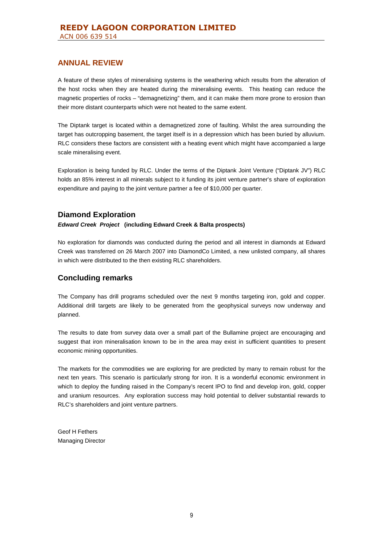A feature of these styles of mineralising systems is the weathering which results from the alteration of the host rocks when they are heated during the mineralising events. This heating can reduce the magnetic properties of rocks – "demagnetizing" them, and it can make them more prone to erosion than their more distant counterparts which were not heated to the same extent.

The Diptank target is located within a demagnetized zone of faulting. Whilst the area surrounding the target has outcropping basement, the target itself is in a depression which has been buried by alluvium. RLC considers these factors are consistent with a heating event which might have accompanied a large scale mineralising event.

Exploration is being funded by RLC. Under the terms of the Diptank Joint Venture ("Diptank JV") RLC holds an 85% interest in all minerals subject to it funding its joint venture partner's share of exploration expenditure and paying to the joint venture partner a fee of \$10,000 per quarter.

# **Diamond Exploration**

*Edward Creek Project* **(including Edward Creek & Balta prospects)**

No exploration for diamonds was conducted during the period and all interest in diamonds at Edward Creek was transferred on 26 March 2007 into DiamondCo Limited, a new unlisted company, all shares in which were distributed to the then existing RLC shareholders.

# **Concluding remarks**

The Company has drill programs scheduled over the next 9 months targeting iron, gold and copper. Additional drill targets are likely to be generated from the geophysical surveys now underway and planned.

The results to date from survey data over a small part of the Bullamine project are encouraging and suggest that iron mineralisation known to be in the area may exist in sufficient quantities to present economic mining opportunities.

The markets for the commodities we are exploring for are predicted by many to remain robust for the next ten years. This scenario is particularly strong for iron. It is a wonderful economic environment in which to deploy the funding raised in the Company's recent IPO to find and develop iron, gold, copper and uranium resources. Any exploration success may hold potential to deliver substantial rewards to RLC's shareholders and joint venture partners.

Geof H Fethers Managing Director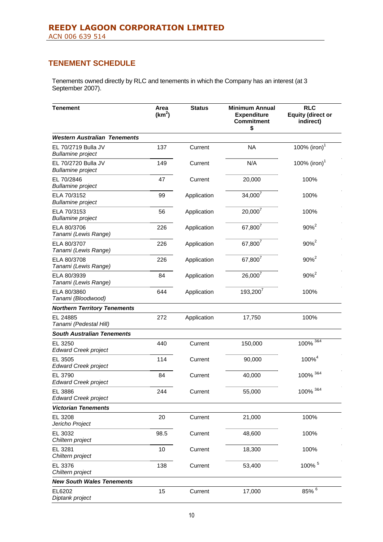# **TENEMENT SCHEDULE**

Tenements owned directly by RLC and tenements in which the Company has an interest (at 3 September 2007).

| <b>Tenement</b>                                 | Area<br>(km <sup>2</sup> ) | <b>Status</b> | <b>Minimum Annual</b><br><b>Expenditure</b><br><b>Commitment</b><br>\$ | <b>RLC</b><br><b>Equity (direct or</b><br>indirect) |
|-------------------------------------------------|----------------------------|---------------|------------------------------------------------------------------------|-----------------------------------------------------|
| <b>Western Australian Tenements</b>             |                            |               |                                                                        |                                                     |
| EL 70/2719 Bulla JV<br><b>Bullamine</b> project | 137                        | Current       | <b>NA</b>                                                              | 100% (iron) <sup>1</sup>                            |
| EL 70/2720 Bulla JV<br><b>Bullamine</b> project | 149                        | Current       | N/A                                                                    | 100% $(iron)^T$                                     |
| EL 70/2846<br><b>Bullamine</b> project          | 47                         | Current       | 20,000                                                                 | 100%                                                |
| ELA 70/3152<br><b>Bullamine</b> project         | 99                         | Application   | $34,000^7$                                                             | 100%                                                |
| ELA 70/3153<br><b>Bullamine</b> project         | 56                         | Application   | $20,000^7$                                                             | 100%                                                |
| ELA 80/3706<br>Tanami (Lewis Range)             | 226                        | Application   | 67,800 <sup>7</sup>                                                    | $90%^{2}$                                           |
| ELA 80/3707<br>Tanami (Lewis Range)             | 226                        | Application   | 67,800 <sup>7</sup>                                                    | $90%^{2}$                                           |
| ELA 80/3708<br>Tanami (Lewis Range)             | 226                        | Application   | 67,800 <sup>7</sup>                                                    | 90% <sup>2</sup>                                    |
| ELA 80/3939<br>Tanami (Lewis Range)             | 84                         | Application   | $26,000^7$                                                             | $90%^{2}$                                           |
| ELA 80/3860<br>Tanami (Bloodwood)               | 644                        | Application   | $193,200^7$                                                            | 100%                                                |
| <b>Northern Territory Tenements</b>             |                            |               |                                                                        |                                                     |
| EL 24885<br>Tanami (Pedestal Hill)              | 272                        | Application   | 17,750                                                                 | 100%                                                |
| <b>South Australian Tenements</b>               |                            |               |                                                                        |                                                     |
| EL 3250<br><b>Edward Creek project</b>          | 440                        | Current       | 150,000                                                                | $100\%$ $384$                                       |
| EL 3505<br><b>Edward Creek project</b>          | 114                        | Current       | 90,000                                                                 | 100% <sup>4</sup>                                   |
| EL 3790<br><b>Edward Creek project</b>          | 84                         | Current       | 40,000                                                                 | $100\%$ $384$                                       |
| EL 3886<br><b>Edward Creek project</b>          | 244                        | Current       | 55,000                                                                 | $100\%$ <sup>3&amp;4</sup>                          |
| <b>Victorian Tenements</b>                      |                            |               |                                                                        |                                                     |
| EL 3208<br>Jericho Project                      | 20                         | Current       | 21,000                                                                 | 100%                                                |
| EL 3032<br>Chiltern project                     | 98.5                       | Current       | 48,600                                                                 | 100%                                                |
| EL 3281<br>Chiltern project                     | 10                         | Current       | 18,300                                                                 | 100%                                                |
| EL 3376<br>Chiltern project                     | 138                        | Current       | 53,400                                                                 | $100\%$ <sup>5</sup>                                |
| <b>New South Wales Tenements</b>                |                            |               |                                                                        |                                                     |
| EL6202<br>Diptank project                       | 15                         | Current       | 17,000                                                                 | 85% 6                                               |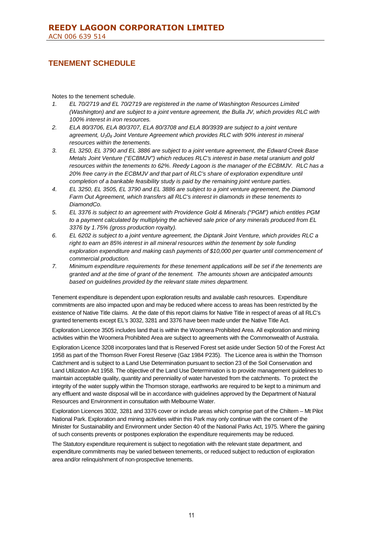# **TENEMENT SCHEDULE**

Notes to the tenement schedule.

- *1. EL 70/2719 and EL 70/2719 are registered in the name of Washington Resources Limited (Washington) and are subject to a joint venture agreement, the Bulla JV, which provides RLC with 100% interest in iron resources.*
- *2. ELA 80/3706, ELA 80/3707, ELA 80/3708 and ELA 80/3939 are subject to a joint venture agreement, U30<sup>8</sup> Joint Venture Agreement which provides RLC with 90% interest in mineral resources within the tenements.*
- *3. EL 3250, EL 3790 and EL 3886 are subject to a joint venture agreement, the Edward Creek Base Metals Joint Venture ("ECBMJV") which reduces RLC's interest in base metal uranium and gold resources within the tenements to 62%. Reedy Lagoon is the manager of the ECBMJV. RLC has a 20% free carry in the ECBMJV and that part of RLC's share of exploration expenditure until completion of a bankable feasibility study is paid by the remaining joint venture parties.*
- *4. EL 3250, EL 3505, EL 3790 and EL 3886 are subject to a joint venture agreement, the Diamond Farm Out Agreement, which transfers all RLC's interest in diamonds in these tenements to DiamondCo.*
- *5. EL 3376 is subject to an agreement with Providence Gold & Minerals ("PGM") which entitles PGM to a payment calculated by multiplying the achieved sale price of any minerals produced from EL 3376 by 1.75% (gross production royalty).*
- *6. EL 6202 is subject to a joint venture agreement, the Diptank Joint Venture, which provides RLC a right to earn an 85% interest in all mineral resources within the tenement by sole funding exploration expenditure and making cash payments of \$10,000 per quarter until commencement of commercial production.*
- *7. Minimum expenditure requirements for these tenement applications will be set if the tenements are granted and at the time of grant of the tenement. The amounts shown are anticipated amounts based on guidelines provided by the relevant state mines department.*

Tenement expenditure is dependent upon exploration results and available cash resources. Expenditure commitments are also impacted upon and may be reduced where access to areas has been restricted by the existence of Native Title claims. At the date of this report claims for Native Title in respect of areas of all RLC's granted tenements except EL's 3032, 3281 and 3376 have been made under the Native Title Act.

Exploration Licence 3505 includes land that is within the Woomera Prohibited Area. All exploration and mining activities within the Woomera Prohibited Area are subject to agreements with the Commonwealth of Australia.

Exploration Licence 3208 incorporates land that is Reserved Forest set aside under Section 50 of the Forest Act 1958 as part of the Thomson River Forest Reserve (Gaz 1984 P235). The Licence area is within the Thomson Catchment and is subject to a Land Use Determination pursuant to section 23 of the Soil Conservation and Land Utilization Act 1958. The objective of the Land Use Determination is to provide management guidelines to maintain acceptable quality, quantity and perenniality of water harvested from the catchments. To protect the integrity of the water supply within the Thomson storage, earthworks are required to be kept to a minimum and any effluent and waste disposal will be in accordance with guidelines approved by the Department of Natural Resources and Environment in consultation with Melbourne Water.

Exploration Licences 3032, 3281 and 3376 cover or include areas which comprise part of the Chiltern – Mt Pilot National Park. Exploration and mining activities within this Park may only continue with the consent of the Minister for Sustainability and Environment under Section 40 of the National Parks Act, 1975. Where the gaining of such consents prevents or postpones exploration the expenditure requirements may be reduced.

The Statutory expenditure requirement is subject to negotiation with the relevant state department, and expenditure commitments may be varied between tenements, or reduced subject to reduction of exploration area and/or relinquishment of non-prospective tenements.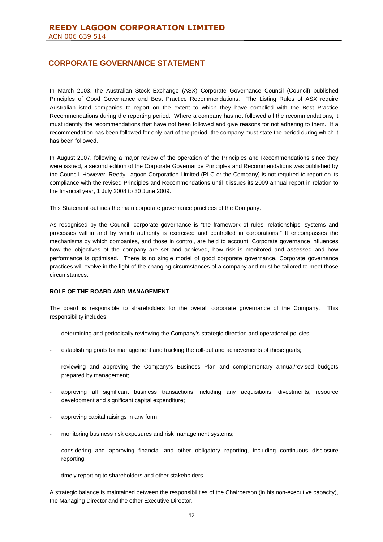In March 2003, the Australian Stock Exchange (ASX) Corporate Governance Council (Council) published Principles of Good Governance and Best Practice Recommendations. The Listing Rules of ASX require Australian-listed companies to report on the extent to which they have complied with the Best Practice Recommendations during the reporting period. Where a company has not followed all the recommendations, it must identify the recommendations that have not been followed and give reasons for not adhering to them. If a recommendation has been followed for only part of the period, the company must state the period during which it has been followed.

In August 2007, following a major review of the operation of the Principles and Recommendations since they were issued, a second edition of the Corporate Governance Principles and Recommendations was published by the Council. However, Reedy Lagoon Corporation Limited (RLC or the Company) is not required to report on its compliance with the revised Principles and Recommendations until it issues its 2009 annual report in relation to the financial year, 1 July 2008 to 30 June 2009.

This Statement outlines the main corporate governance practices of the Company.

As recognised by the Council, corporate governance is "the framework of rules, relationships, systems and processes within and by which authority is exercised and controlled in corporations." It encompasses the mechanisms by which companies, and those in control, are held to account. Corporate governance influences how the objectives of the company are set and achieved, how risk is monitored and assessed and how performance is optimised. There is no single model of good corporate governance. Corporate governance practices will evolve in the light of the changing circumstances of a company and must be tailored to meet those circumstances.

### **ROLE OF THE BOARD AND MANAGEMENT**

The board is responsible to shareholders for the overall corporate governance of the Company. This responsibility includes:

- determining and periodically reviewing the Company's strategic direction and operational policies;
- establishing goals for management and tracking the roll-out and achievements of these goals;
- reviewing and approving the Company's Business Plan and complementary annual/revised budgets prepared by management;
- approving all significant business transactions including any acquisitions, divestments, resource development and significant capital expenditure;
- approving capital raisings in any form;
- monitoring business risk exposures and risk management systems;
- considering and approving financial and other obligatory reporting, including continuous disclosure reporting;
- timely reporting to shareholders and other stakeholders.

A strategic balance is maintained between the responsibilities of the Chairperson (in his non-executive capacity), the Managing Director and the other Executive Director.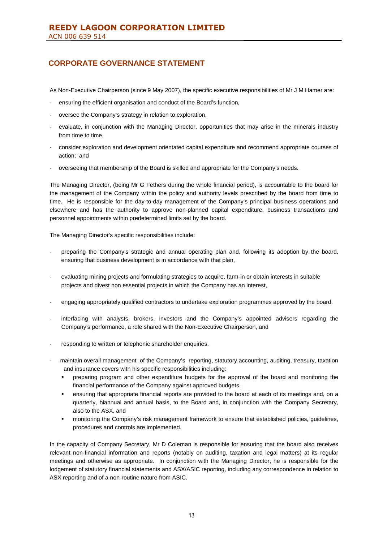As Non-Executive Chairperson (since 9 May 2007), the specific executive responsibilities of Mr J M Hamer are:

- ensuring the efficient organisation and conduct of the Board's function,
- oversee the Company's strategy in relation to exploration,
- evaluate, in conjunction with the Managing Director, opportunities that may arise in the minerals industry from time to time,
- consider exploration and development orientated capital expenditure and recommend appropriate courses of action; and
- overseeing that membership of the Board is skilled and appropriate for the Company's needs.

The Managing Director, (being Mr G Fethers during the whole financial period), is accountable to the board for the management of the Company within the policy and authority levels prescribed by the board from time to time. He is responsible for the day-to-day management of the Company's principal business operations and elsewhere and has the authority to approve non-planned capital expenditure, business transactions and personnel appointments within predetermined limits set by the board.

The Managing Director's specific responsibilities include:

- preparing the Company's strategic and annual operating plan and, following its adoption by the board, ensuring that business development is in accordance with that plan,
- evaluating mining projects and formulating strategies to acquire, farm-in or obtain interests in suitable projects and divest non essential projects in which the Company has an interest,
- engaging appropriately qualified contractors to undertake exploration programmes approved by the board.
- interfacing with analysts, brokers, investors and the Company's appointed advisers regarding the Company's performance, a role shared with the Non-Executive Chairperson, and
- responding to written or telephonic shareholder enquiries.
- maintain overall management of the Company's reporting, statutory accounting, auditing, treasury, taxation and insurance covers with his specific responsibilities including:
	- preparing program and other expenditure budgets for the approval of the board and monitoring the financial performance of the Company against approved budgets,
	- ensuring that appropriate financial reports are provided to the board at each of its meetings and, on a quarterly, biannual and annual basis, to the Board and, in conjunction with the Company Secretary, also to the ASX, and
	- monitoring the Company's risk management framework to ensure that established policies, guidelines, procedures and controls are implemented.

In the capacity of Company Secretary, Mr D Coleman is responsible for ensuring that the board also receives relevant non-financial information and reports (notably on auditing, taxation and legal matters) at its regular meetings and otherwise as appropriate. In conjunction with the Managing Director, he is responsible for the lodgement of statutory financial statements and ASX/ASIC reporting, including any correspondence in relation to ASX reporting and of a non-routine nature from ASIC.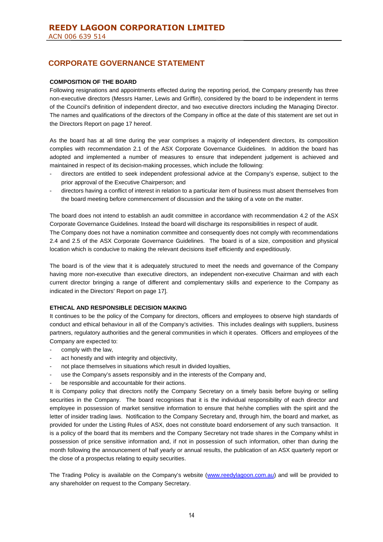### **COMPOSITION OF THE BOARD**

Following resignations and appointments effected during the reporting period, the Company presently has three non-executive directors (Messrs Hamer, Lewis and Griffin), considered by the board to be independent in terms of the Council's definition of independent director, and two executive directors including the Managing Director. The names and qualifications of the directors of the Company in office at the date of this statement are set out in the Directors Report on page 17 hereof.

As the board has at all time during the year comprises a majority of independent directors, its composition complies with recommendation 2.1 of the ASX Corporate Governance Guidelines. In addition the board has adopted and implemented a number of measures to ensure that independent judgement is achieved and maintained in respect of its decision-making processes, which include the following:

- directors are entitled to seek independent professional advice at the Company's expense, subject to the prior approval of the Executive Chairperson; and
- directors having a conflict of interest in relation to a particular item of business must absent themselves from the board meeting before commencement of discussion and the taking of a vote on the matter.

The board does not intend to establish an audit committee in accordance with recommendation 4.2 of the ASX Corporate Governance Guidelines. Instead the board will discharge its responsibilities in respect of audit. The Company does not have a nomination committee and consequently does not comply with recommendations 2.4 and 2.5 of the ASX Corporate Governance Guidelines. The board is of a size, composition and physical location which is conducive to making the relevant decisions itself efficiently and expeditiously.

The board is of the view that it is adequately structured to meet the needs and governance of the Company having more non-executive than executive directors, an independent non-executive Chairman and with each current director bringing a range of different and complementary skills and experience to the Company as indicated in the Directors' Report on page 17].

### **ETHICAL AND RESPONSIBLE DECISION MAKING**

It continues to be the policy of the Company for directors, officers and employees to observe high standards of conduct and ethical behaviour in all of the Company's activities. This includes dealings with suppliers, business partners, regulatory authorities and the general communities in which it operates. Officers and employees of the Company are expected to:

- comply with the law,
- act honestly and with integrity and objectivity,
- not place themselves in situations which result in divided loyalties,
- use the Company's assets responsibly and in the interests of the Company and,
- be responsible and accountable for their actions.

It is Company policy that directors notify the Company Secretary on a timely basis before buying or selling securities in the Company. The board recognises that it is the individual responsibility of each director and employee in possession of market sensitive information to ensure that he/she complies with the spirit and the letter of insider trading laws. Notification to the Company Secretary and, through him, the board and market, as provided for under the Listing Rules of ASX, does not constitute board endorsement of any such transaction. It is a policy of the board that its members and the Company Secretary not trade shares in the Company whilst in possession of price sensitive information and, if not in possession of such information, other than during the month following the announcement of half yearly or annual results, the publication of an ASX quarterly report or the close of a prospectus relating to equity securities.

The Trading Policy is available on the Company's website (www.reedylagoon.com.au) and will be provided to any shareholder on request to the Company Secretary.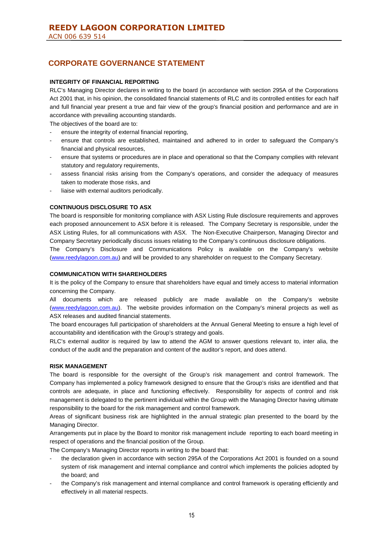### **INTEGRITY OF FINANCIAL REPORTING**

RLC's Managing Director declares in writing to the board (in accordance with section 295A of the Corporations Act 2001 that, in his opinion, the consolidated financial statements of RLC and its controlled entities for each half and full financial year present a true and fair view of the group's financial position and performance and are in accordance with prevailing accounting standards.

The objectives of the board are to:

- ensure the integrity of external financial reporting,
- ensure that controls are established, maintained and adhered to in order to safeguard the Company's financial and physical resources,
- ensure that systems or procedures are in place and operational so that the Company complies with relevant statutory and regulatory requirements,
- assess financial risks arising from the Company's operations, and consider the adequacy of measures taken to moderate those risks, and
- liaise with external auditors periodically.

## **CONTINUOUS DISCLOSURE TO ASX**

The board is responsible for monitoring compliance with ASX Listing Rule disclosure requirements and approves each proposed announcement to ASX before it is released. The Company Secretary is responsible, under the ASX Listing Rules, for all communications with ASX. The Non-Executive Chairperson, Managing Director and Company Secretary periodically discuss issues relating to the Company's continuous disclosure obligations.

The Company's Disclosure and Communications Policy is available on the Company's website (www.reedylagoon.com.au) and will be provided to any shareholder on request to the Company Secretary.

### **COMMUNICATION WITH SHAREHOLDERS**

It is the policy of the Company to ensure that shareholders have equal and timely access to material information concerning the Company.

All documents which are released publicly are made available on the Company's website (www.reedylagoon.com.au). The website provides information on the Company's mineral projects as well as ASX releases and audited financial statements.

The board encourages full participation of shareholders at the Annual General Meeting to ensure a high level of accountability and identification with the Group's strategy and goals.

RLC's external auditor is required by law to attend the AGM to answer questions relevant to, inter alia, the conduct of the audit and the preparation and content of the auditor's report, and does attend.

### **RISK MANAGEMENT**

The board is responsible for the oversight of the Group's risk management and control framework. The Company has implemented a policy framework designed to ensure that the Group's risks are identified and that controls are adequate, in place and functioning effectively. Responsibility for aspects of control and risk management is delegated to the pertinent individual within the Group with the Managing Director having ultimate responsibility to the board for the risk management and control framework.

Areas of significant business risk are highlighted in the annual strategic plan presented to the board by the Managing Director.

Arrangements put in place by the Board to monitor risk management include reporting to each board meeting in respect of operations and the financial position of the Group.

The Company's Managing Director reports in writing to the board that:

- the declaration given in accordance with section 295A of the Corporations Act 2001 is founded on a sound system of risk management and internal compliance and control which implements the policies adopted by the board; and
- the Company's risk management and internal compliance and control framework is operating efficiently and effectively in all material respects.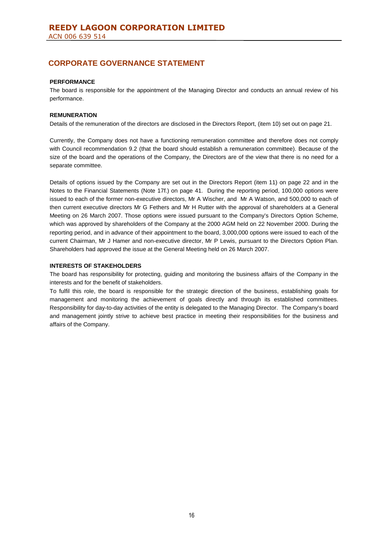### **PERFORMANCE**

The board is responsible for the appointment of the Managing Director and conducts an annual review of his performance.

### **REMUNERATION**

Details of the remuneration of the directors are disclosed in the Directors Report, (item 10) set out on page 21.

Currently, the Company does not have a functioning remuneration committee and therefore does not comply with Council recommendation 9.2 (that the board should establish a remuneration committee). Because of the size of the board and the operations of the Company, the Directors are of the view that there is no need for a separate committee.

Details of options issued by the Company are set out in the Directors Report (item 11) on page 22 and in the Notes to the Financial Statements (Note 17f.) on page 41. During the reporting period, 100,000 options were issued to each of the former non-executive directors, Mr A Wischer, and Mr A Watson, and 500,000 to each of then current executive directors Mr G Fethers and Mr H Rutter with the approval of shareholders at a General Meeting on 26 March 2007. Those options were issued pursuant to the Company's Directors Option Scheme, which was approved by shareholders of the Company at the 2000 AGM held on 22 November 2000. During the reporting period, and in advance of their appointment to the board, 3,000,000 options were issued to each of the current Chairman, Mr J Hamer and non-executive director, Mr P Lewis, pursuant to the Directors Option Plan. Shareholders had approved the issue at the General Meeting held on 26 March 2007.

### **INTERESTS OF STAKEHOLDERS**

The board has responsibility for protecting, guiding and monitoring the business affairs of the Company in the interests and for the benefit of stakeholders.

To fulfil this role, the board is responsible for the strategic direction of the business, establishing goals for management and monitoring the achievement of goals directly and through its established committees. Responsibility for day-to-day activities of the entity is delegated to the Managing Director. The Company's board and management jointly strive to achieve best practice in meeting their responsibilities for the business and affairs of the Company.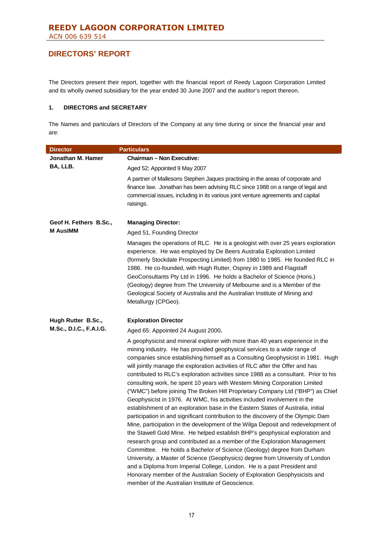The Directors present their report, together with the financial report of Reedy Lagoon Corporation Limited and its wholly owned subsidiary for the year ended 30 June 2007 and the auditor's report thereon.

## **1. DIRECTORS and SECRETARY**

The Names and particulars of Directors of the Company at any time during or since the financial year and are:

| <b>Director</b>         | <b>Particulars</b>                                                                                                                                                                                                                                                                                                                                                                                                                                                                                                                                                                                                                                                                                                                                                                                                                                                                                                                                                                                                                                                                                                                                                                                                                                                                                                                                                                                                                                                   |
|-------------------------|----------------------------------------------------------------------------------------------------------------------------------------------------------------------------------------------------------------------------------------------------------------------------------------------------------------------------------------------------------------------------------------------------------------------------------------------------------------------------------------------------------------------------------------------------------------------------------------------------------------------------------------------------------------------------------------------------------------------------------------------------------------------------------------------------------------------------------------------------------------------------------------------------------------------------------------------------------------------------------------------------------------------------------------------------------------------------------------------------------------------------------------------------------------------------------------------------------------------------------------------------------------------------------------------------------------------------------------------------------------------------------------------------------------------------------------------------------------------|
| Jonathan M. Hamer       | <b>Chairman - Non Executive:</b>                                                                                                                                                                                                                                                                                                                                                                                                                                                                                                                                                                                                                                                                                                                                                                                                                                                                                                                                                                                                                                                                                                                                                                                                                                                                                                                                                                                                                                     |
| BA, LLB.                | Aged 52; Appointed 9 May 2007                                                                                                                                                                                                                                                                                                                                                                                                                                                                                                                                                                                                                                                                                                                                                                                                                                                                                                                                                                                                                                                                                                                                                                                                                                                                                                                                                                                                                                        |
|                         | A partner of Mallesons Stephen Jaques practising in the areas of corporate and<br>finance law. Jonathan has been advising RLC since 1988 on a range of legal and<br>commercial issues, including in its various joint venture agreements and capital<br>raisings.                                                                                                                                                                                                                                                                                                                                                                                                                                                                                                                                                                                                                                                                                                                                                                                                                                                                                                                                                                                                                                                                                                                                                                                                    |
| Geof H. Fethers B.Sc.,  | <b>Managing Director:</b>                                                                                                                                                                                                                                                                                                                                                                                                                                                                                                                                                                                                                                                                                                                                                                                                                                                                                                                                                                                                                                                                                                                                                                                                                                                                                                                                                                                                                                            |
| <b>M AusIMM</b>         | Aged 51, Founding Director                                                                                                                                                                                                                                                                                                                                                                                                                                                                                                                                                                                                                                                                                                                                                                                                                                                                                                                                                                                                                                                                                                                                                                                                                                                                                                                                                                                                                                           |
|                         | Manages the operations of RLC. He is a geologist with over 25 years exploration<br>experience. He was employed by De Beers Australia Exploration Limited<br>(formerly Stockdale Prospecting Limited) from 1980 to 1985. He founded RLC in<br>1986. He co-founded, with Hugh Rutter, Osprey in 1989 and Flagstaff<br>GeoConsultants Pty Ltd in 1996. He holds a Bachelor of Science (Hons.)<br>(Geology) degree from The University of Melbourne and is a Member of the<br>Geological Society of Australia and the Australian Institute of Mining and<br>Metallurgy (CPGeo).                                                                                                                                                                                                                                                                                                                                                                                                                                                                                                                                                                                                                                                                                                                                                                                                                                                                                          |
| Hugh Rutter B.Sc.,      | <b>Exploration Director</b>                                                                                                                                                                                                                                                                                                                                                                                                                                                                                                                                                                                                                                                                                                                                                                                                                                                                                                                                                                                                                                                                                                                                                                                                                                                                                                                                                                                                                                          |
| M.Sc., D.I.C., F.A.I.G. | Aged 65: Appointed 24 August 2000.                                                                                                                                                                                                                                                                                                                                                                                                                                                                                                                                                                                                                                                                                                                                                                                                                                                                                                                                                                                                                                                                                                                                                                                                                                                                                                                                                                                                                                   |
|                         | A geophysicist and mineral explorer with more than 40 years experience in the<br>mining industry. He has provided geophysical services to a wide range of<br>companies since establishing himself as a Consulting Geophysicist in 1981. Hugh<br>will jointly manage the exploration activities of RLC after the Offer and has<br>contributed to RLC's exploration activities since 1988 as a consultant. Prior to his<br>consulting work, he spent 10 years with Western Mining Corporation Limited<br>("WMC") before joining The Broken Hill Proprietary Company Ltd ("BHP") as Chief<br>Geophysicist in 1976. At WMC, his activities included involvement in the<br>establishment of an exploration base in the Eastern States of Australia, initial<br>participation in and significant contribution to the discovery of the Olympic Dam<br>Mine, participation in the development of the Wilga Deposit and redevelopment of<br>the Stawell Gold Mine. He helped establish BHP's geophysical exploration and<br>research group and contributed as a member of the Exploration Management<br>Committee. He holds a Bachelor of Science (Geology) degree from Durham<br>University, a Master of Science (Geophysics) degree from University of London<br>and a Diploma from Imperial College, London. He is a past President and<br>Honorary member of the Australian Society of Exploration Geophysicists and<br>member of the Australian Institute of Geoscience. |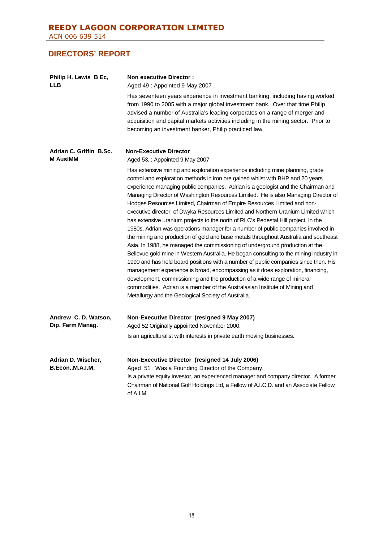| Philip H. Lewis B Ec,<br><b>LLB</b>        | <b>Non executive Director:</b><br>Aged 49: Appointed 9 May 2007.                                                                                                                                                                                                                                                                                                                                                                                                                                                                                                                                                                                                                                                                                                                                                                                                                                                                                                                                                                                                                                                                                                                                                                                                                                                                                    |
|--------------------------------------------|-----------------------------------------------------------------------------------------------------------------------------------------------------------------------------------------------------------------------------------------------------------------------------------------------------------------------------------------------------------------------------------------------------------------------------------------------------------------------------------------------------------------------------------------------------------------------------------------------------------------------------------------------------------------------------------------------------------------------------------------------------------------------------------------------------------------------------------------------------------------------------------------------------------------------------------------------------------------------------------------------------------------------------------------------------------------------------------------------------------------------------------------------------------------------------------------------------------------------------------------------------------------------------------------------------------------------------------------------------|
|                                            | Has seventeen years experience in investment banking, including having worked<br>from 1990 to 2005 with a major global investment bank. Over that time Philip<br>advised a number of Australia's leading corporates on a range of merger and<br>acquisition and capital markets activities including in the mining sector. Prior to<br>becoming an investment banker, Philip practiced law.                                                                                                                                                                                                                                                                                                                                                                                                                                                                                                                                                                                                                                                                                                                                                                                                                                                                                                                                                         |
| Adrian C. Griffin B.Sc.<br><b>M AusiMM</b> | <b>Non-Executive Director</b><br>Aged 53, ; Appointed 9 May 2007                                                                                                                                                                                                                                                                                                                                                                                                                                                                                                                                                                                                                                                                                                                                                                                                                                                                                                                                                                                                                                                                                                                                                                                                                                                                                    |
|                                            | Has extensive mining and exploration experience including mine planning, grade<br>control and exploration methods in iron ore gained whilst with BHP and 20 years<br>experience managing public companies. Adrian is a geologist and the Chairman and<br>Managing Director of Washington Resources Limited. He is also Managing Director of<br>Hodges Resources Limited, Chairman of Empire Resources Limited and non-<br>executive director of Dwyka Resources Limited and Northern Uranium Limited which<br>has extensive uranium projects to the north of RLC's Pedestal Hill project. In the<br>1980s, Adrian was operations manager for a number of public companies involved in<br>the mining and production of gold and base metals throughout Australia and southeast<br>Asia. In 1988, he managed the commissioning of underground production at the<br>Bellevue gold mine in Western Australia. He began consulting to the mining industry in<br>1990 and has held board positions with a number of public companies since then. His<br>management experience is broad, encompassing as it does exploration, financing,<br>development, commissioning and the production of a wide range of mineral<br>commodities. Adrian is a member of the Australasian Institute of Mining and<br>Metallurgy and the Geological Society of Australia. |
| Andrew C. D. Watson,<br>Dip. Farm Manag.   | Non-Executive Director (resigned 9 May 2007)<br>Aged 52 Originally appointed November 2000.                                                                                                                                                                                                                                                                                                                                                                                                                                                                                                                                                                                                                                                                                                                                                                                                                                                                                                                                                                                                                                                                                                                                                                                                                                                         |
|                                            | Is an agriculturalist with interests in private earth moving businesses.                                                                                                                                                                                                                                                                                                                                                                                                                                                                                                                                                                                                                                                                                                                                                                                                                                                                                                                                                                                                                                                                                                                                                                                                                                                                            |
| Adrian D. Wischer,<br>B.EconM.A.I.M.       | Non-Executive Director (resigned 14 July 2006)<br>Aged 51: Was a Founding Director of the Company.<br>Is a private equity investor, an experienced manager and company director. A former<br>Chairman of National Golf Holdings Ltd, a Fellow of A.I.C.D. and an Associate Fellow<br>of A.I.M.                                                                                                                                                                                                                                                                                                                                                                                                                                                                                                                                                                                                                                                                                                                                                                                                                                                                                                                                                                                                                                                      |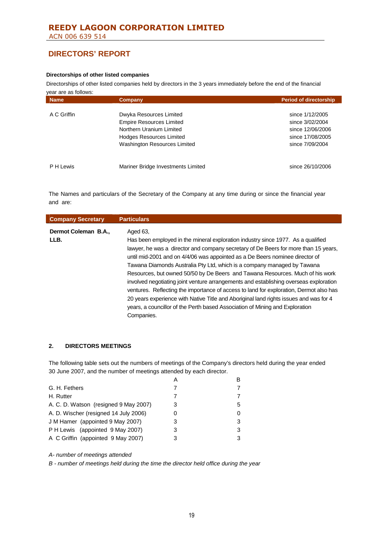ACN 006 639 514

# **DIRECTORS' REPORT**

### **Directorships of other listed companies**

Directorships of other listed companies held by directors in the 3 years immediately before the end of the financial

| <b>Name</b> | Company                            | <b>Period of directorship</b> |
|-------------|------------------------------------|-------------------------------|
| A C Griffin | Dwyka Resources Limited            | since 1/12/2005               |
|             | <b>Empire Resources Limited</b>    | since 3/02/2004               |
|             | Northern Uranium Limited           | since 12/06/2006              |
|             | <b>Hodges Resources Limited</b>    | since 17/08/2005              |
|             | Washington Resources Limited       | since 7/09/2004               |
| P H Lewis   | Mariner Bridge Investments Limited | since 26/10/2006              |

The Names and particulars of the Secretary of the Company at any time during or since the financial year and are:

| <b>Company Secretary</b>     | <b>Particulars</b>                                                                                                                                                                                                                                                                                                                                                                                                                                                                                                                                                                                                                                                                                                                                                                                        |
|------------------------------|-----------------------------------------------------------------------------------------------------------------------------------------------------------------------------------------------------------------------------------------------------------------------------------------------------------------------------------------------------------------------------------------------------------------------------------------------------------------------------------------------------------------------------------------------------------------------------------------------------------------------------------------------------------------------------------------------------------------------------------------------------------------------------------------------------------|
| Dermot Coleman B.A.,<br>LLB. | Aged 63,<br>Has been employed in the mineral exploration industry since 1977. As a qualified<br>lawyer, he was a director and company secretary of De Beers for more than 15 years,<br>until mid-2001 and on 4/4/06 was appointed as a De Beers nominee director of<br>Tawana Diamonds Australia Pty Ltd, which is a company managed by Tawana<br>Resources, but owned 50/50 by De Beers and Tawana Resources. Much of his work<br>involved negotiating joint venture arrangements and establishing overseas exploration<br>ventures. Reflecting the importance of access to land for exploration, Dermot also has<br>20 years experience with Native Title and Aboriginal land rights issues and was for 4<br>years, a councillor of the Perth based Association of Mining and Exploration<br>Companies. |

## **2. DIRECTORS MEETINGS**

The following table sets out the numbers of meetings of the Company's directors held during the year ended 30 June 2007, and the number of meetings attended by each director.

|                                       |   | R  |
|---------------------------------------|---|----|
| G. H. Fethers                         |   |    |
| H. Rutter                             |   |    |
| A. C. D. Watson (resigned 9 May 2007) |   | 5. |
| A. D. Wischer (resigned 14 July 2006) |   | 0  |
| J M Hamer (appointed 9 May 2007)      | 3 | 3  |
| P H Lewis (appointed 9 May 2007)      | З | 3  |
| A C Griffin (appointed 9 May 2007)    |   | 3  |

*A- number of meetings attended*

*B - number of meetings held during the time the director held office during the year*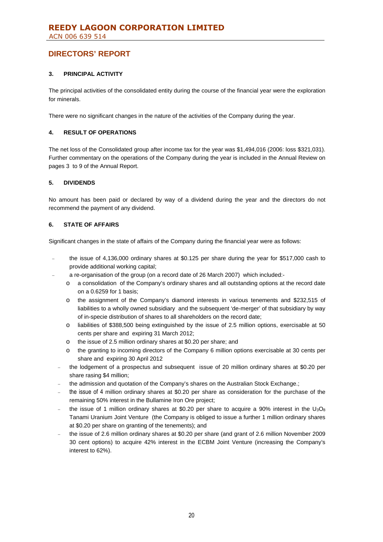## **3. PRINCIPAL ACTIVITY**

The principal activities of the consolidated entity during the course of the financial year were the exploration for minerals.

There were no significant changes in the nature of the activities of the Company during the year.

### **4. RESULT OF OPERATIONS**

The net loss of the Consolidated group after income tax for the year was \$1,494,016 (2006: loss \$321,031). Further commentary on the operations of the Company during the year is included in the Annual Review on pages 3 to 9 of the Annual Report.

### **5. DIVIDENDS**

No amount has been paid or declared by way of a dividend during the year and the directors do not recommend the payment of any dividend.

### **6. STATE OF AFFAIRS**

Significant changes in the state of affairs of the Company during the financial year were as follows:

- the issue of 4,136,000 ordinary shares at \$0.125 per share during the year for \$517,000 cash to provide additional working capital;
- a re-organisation of the group (on a record date of 26 March 2007) which included:
	- o a consolidation of the Company's ordinary shares and all outstanding options at the record date on a 0.6259 for 1 basis;
	- o the assignment of the Company's diamond interests in various tenements and \$232,515 of liabilities to a wholly owned subsidiary and the subsequent 'de-merger' of that subsidiary by way of in-specie distribution of shares to all shareholders on the record date;
	- o liabilities of \$388,500 being extinguished by the issue of 2.5 million options, exercisable at 50 cents per share and expiring 31 March 2012;
	- o the issue of 2.5 million ordinary shares at \$0.20 per share; and
	- o the granting to incoming directors of the Company 6 million options exercisable at 30 cents per share and expiring 30 April 2012
	- the lodgement of a prospectus and subsequent issue of 20 million ordinary shares at \$0.20 per share rasing \$4 million;
	- the admission and quotation of the Company's shares on the Australian Stock Exchange.;
	- the issue of 4 million ordinary shares at \$0.20 per share as consideration for the purchase of the remaining 50% interest in the Bullamine Iron Ore project;
	- the issue of 1 million ordinary shares at \$0.20 per share to acquire a 90% interest in the  $U_3O_8$ Tanami Uranium Joint Venture (the Company is obliged to issue a further 1 million ordinary shares at \$0.20 per share on granting of the tenements); and
	- the issue of 2.6 million ordinary shares at \$0.20 per share (and grant of 2.6 million November 2009 30 cent options) to acquire 42% interest in the ECBM Joint Venture (increasing the Company's interest to 62%).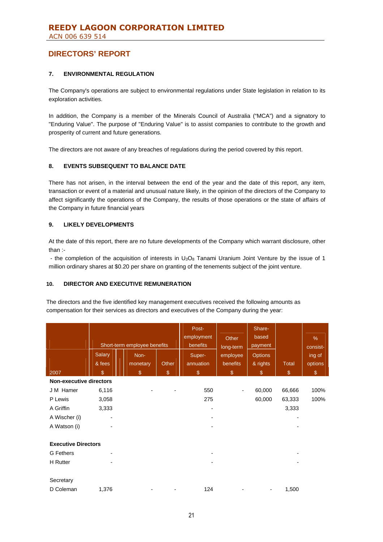## **7. ENVIRONMENTAL REGULATION**

The Company's operations are subject to environmental regulations under State legislation in relation to its exploration activities.

In addition, the Company is a member of the Minerals Council of Australia ("MCA") and a signatory to "Enduring Value". The purpose of "Enduring Value" is to assist companies to contribute to the growth and prosperity of current and future generations.

The directors are not aware of any breaches of regulations during the period covered by this report.

### **8. EVENTS SUBSEQUENT TO BALANCE DATE**

There has not arisen, in the interval between the end of the year and the date of this report, any item, transaction or event of a material and unusual nature likely, in the opinion of the directors of the Company to affect significantly the operations of the Company, the results of those operations or the state of affairs of the Company in future financial years

### **9. LIKELY DEVELOPMENTS**

At the date of this report, there are no future developments of the Company which warrant disclosure, other than :-

- the completion of the acquisition of interests in  $U_3O_8$  Tanami Uranium Joint Venture by the issue of 1 million ordinary shares at \$0.20 per share on granting of the tenements subject of the joint venture.

### **10. DIRECTOR AND EXECUTIVE REMUNERATION**

The directors and the five identified key management executives received the following amounts as compensation for their services as directors and executives of the Company during the year:

|                                |                  | Short-term employee benefits |       | Post-<br>employment<br>benefits | Other<br>long-term   | Share-<br>based<br>payment |               | %<br>consist-     |
|--------------------------------|------------------|------------------------------|-------|---------------------------------|----------------------|----------------------------|---------------|-------------------|
|                                | Salary<br>& fees | Non-<br>monetary             | Other | Super-<br>annuation             | employee<br>benefits | <b>Options</b><br>& rights | <b>Total</b>  | ing of<br>options |
| 2007                           | $\mathcal{L}$    | $\mathbb{S}$                 | \$    | $\$\$                           | $\$\$                | $\$\$                      | $\frac{1}{2}$ | $\frac{1}{2}$     |
| <b>Non-executive directors</b> |                  |                              |       |                                 |                      |                            |               |                   |
| J M Hamer                      | 6,116            |                              |       | 550                             |                      | 60,000                     | 66,666        | 100%              |
| P Lewis                        | 3,058            |                              |       | 275                             |                      | 60,000                     | 63,333        | 100%              |
| A Griffin                      | 3,333            |                              |       |                                 |                      |                            | 3,333         |                   |
| A Wischer (i)                  |                  |                              |       |                                 |                      |                            |               |                   |
| A Watson (i)                   |                  |                              |       |                                 |                      |                            |               |                   |
|                                |                  |                              |       |                                 |                      |                            |               |                   |
| <b>Executive Directors</b>     |                  |                              |       |                                 |                      |                            |               |                   |
| <b>G</b> Fethers               |                  |                              |       |                                 |                      |                            |               |                   |
| H Rutter                       |                  |                              |       |                                 |                      |                            |               |                   |
| Secretary                      |                  |                              |       |                                 |                      |                            |               |                   |
| D Coleman                      | 1,376            |                              |       | 124                             |                      |                            | 1,500         |                   |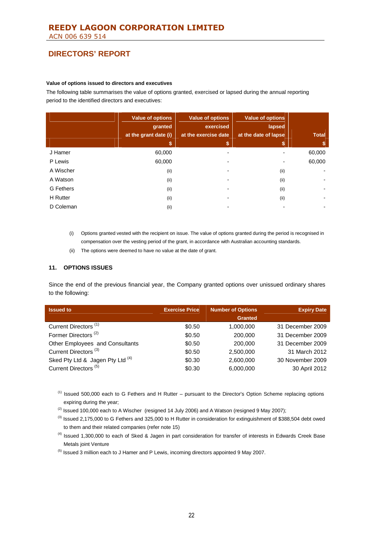#### **Value of options issued to directors and executives**

The following table summarises the value of options granted, exercised or lapsed during the annual reporting period to the identified directors and executives:

|                  | <b>Value of options</b><br>granted<br>at the grant date (i) | <b>Value of options</b><br>exercised<br>at the exercise date | <b>Value of options</b><br>lapsed<br>at the date of lapse | <b>Total</b> |
|------------------|-------------------------------------------------------------|--------------------------------------------------------------|-----------------------------------------------------------|--------------|
|                  | S                                                           | \$                                                           | S                                                         | S            |
| J Hamer          | 60,000                                                      |                                                              |                                                           | 60,000       |
| P Lewis          | 60.000                                                      |                                                              |                                                           | 60,000       |
| A Wischer        | (ii)                                                        |                                                              | (ii)                                                      |              |
| A Watson         | (ii)                                                        | ۰                                                            | (ii)                                                      |              |
| <b>G</b> Fethers | (ii)                                                        |                                                              | (ii)                                                      |              |
| <b>H</b> Rutter  | (ii)                                                        |                                                              | (ii)                                                      |              |
| D Coleman        | (ii)                                                        |                                                              |                                                           |              |

- (i) Options granted vested with the recipient on issue. The value of options granted during the period is recognised in compensation over the vesting period of the grant, in accordance with Australian accounting standards.
- (ii) The options were deemed to have no value at the date of grant.

#### **11. OPTIONS ISSUES**

Since the end of the previous financial year, the Company granted options over unissued ordinary shares to the following:

| <b>Issued to</b>                 | <b>Exercise Price</b> | <b>Number of Options</b> | <b>Expiry Date</b> |
|----------------------------------|-----------------------|--------------------------|--------------------|
|                                  |                       | <b>Granted</b>           |                    |
| Current Directors <sup>(1)</sup> | \$0.50                | 1,000,000                | 31 December 2009   |
| Former Directors <sup>(2)</sup>  | \$0.50                | 200,000                  | 31 December 2009   |
| Other Employees and Consultants  | \$0.50                | 200,000                  | 31 December 2009   |
| Current Directors <sup>(3)</sup> | \$0.50                | 2,500,000                | 31 March 2012      |
| Sked Pty Ltd & Jagen Pty Ltd (4) | \$0.30                | 2,600,000                | 30 November 2009   |
| Current Directors <sup>(5)</sup> | \$0.30                | 6,000,000                | 30 April 2012      |

 $<sup>(1)</sup>$  Issued 500,000 each to G Fethers and H Rutter – pursuant to the Director's Option Scheme replacing options</sup> expiring during the year;

 $(2)$  Issued 100,000 each to A Wischer (resigned 14 July 2006) and A Watson (resigned 9 May 2007);

- $(3)$  Issued 2,175,000 to G Fethers and 325,000 to H Rutter in consideration for extinguishment of \$388,504 debt owed to them and their related companies (refer note 15)
- <sup>(4)</sup> Issued 1,300,000 to each of Sked & Jagen in part consideration for transfer of interests in Edwards Creek Base Metals joint Venture

 $<sup>(5)</sup>$  Issued 3 million each to J Hamer and P Lewis, incoming directors appointed 9 May 2007.</sup>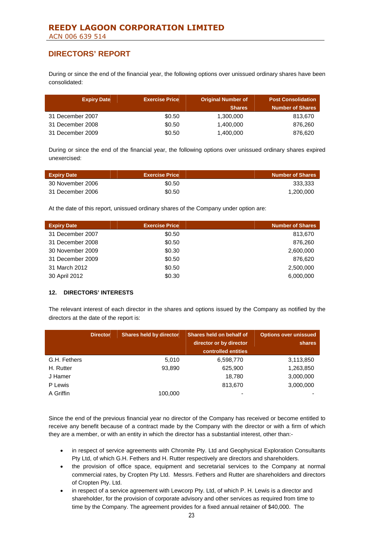During or since the end of the financial year, the following options over unissued ordinary shares have been consolidated:

| <b>Expiry Date</b> | <b>Exercise Price</b> | <b>Original Number of</b> | <b>Post Consolidation</b> |
|--------------------|-----------------------|---------------------------|---------------------------|
|                    |                       | <b>Shares</b>             | <b>Number of Shares</b>   |
| 31 December 2007   | \$0.50                | 1,300,000                 | 813,670                   |
| 31 December 2008   | \$0.50                | 1,400,000                 | 876,260                   |
| 31 December 2009   | \$0.50                | 1,400,000                 | 876,620                   |

During or since the end of the financial year, the following options over unissued ordinary shares expired unexercised:

| <b>Expiry Date</b> | <b>Exercise Price</b> | <b>Number of Shares</b> |
|--------------------|-----------------------|-------------------------|
| 30 November 2006   | \$0.50                | 333.333                 |
| 31 December 2006   | \$0.50                | 1,200,000               |

At the date of this report, unissued ordinary shares of the Company under option are:

| <b>Expiry Date</b> | <b>Exercise Price</b> | <b>Number of Shares</b> |
|--------------------|-----------------------|-------------------------|
| 31 December 2007   | \$0.50                | 813,670                 |
| 31 December 2008   | \$0.50                | 876,260                 |
| 30 November 2009   | \$0.30                | 2,600,000               |
| 31 December 2009   | \$0.50                | 876,620                 |
| 31 March 2012      | \$0.50                | 2,500,000               |
| 30 April 2012      | \$0.30                | 6,000,000               |

### **12. DIRECTORS' INTERESTS**

The relevant interest of each director in the shares and options issued by the Company as notified by the directors at the date of the report is:

|              | <b>Director</b> | <b>Shares held by director</b> | Shares held on behalf of<br>director or by director<br>controlled entities | <b>Options over unissued</b><br>shares |
|--------------|-----------------|--------------------------------|----------------------------------------------------------------------------|----------------------------------------|
| G.H. Fethers |                 | 5,010                          | 6,598,770                                                                  | 3,113,850                              |
| H. Rutter    |                 | 93,890                         | 625,900                                                                    | 1,263,850                              |
| J Hamer      |                 |                                | 18.780                                                                     | 3,000,000                              |
| P Lewis      |                 |                                | 813,670                                                                    | 3,000,000                              |
| A Griffin    |                 | 100.000                        |                                                                            |                                        |

Since the end of the previous financial year no director of the Company has received or become entitled to receive any benefit because of a contract made by the Company with the director or with a firm of which they are a member, or with an entity in which the director has a substantial interest, other than:-

- in respect of service agreements with Chromite Pty. Ltd and Geophysical Exploration Consultants Pty Ltd, of which G.H. Fethers and H. Rutter respectively are directors and shareholders.
- the provision of office space, equipment and secretarial services to the Company at normal commercial rates, by Cropten Pty Ltd. Messrs. Fethers and Rutter are shareholders and directors of Cropten Pty. Ltd.
- in respect of a service agreement with Lewcorp Pty. Ltd, of which P. H. Lewis is a director and shareholder, for the provision of corporate advisory and other services as required from time to time by the Company. The agreement provides for a fixed annual retainer of \$40,000. The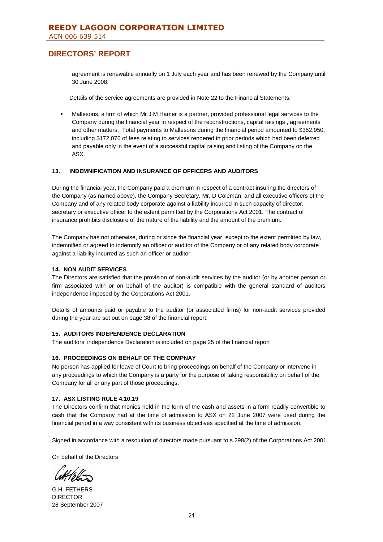agreement is renewable annually on 1 July each year and has been renewed by the Company until 30 June 2008.

Details of the service agreements are provided in Note 22 to the Financial Statements.

 Mallesons, a firm of which Mr J M Hamer is a partner, provided professional legal services to the Company during the financial year in respect of the reconstructions, capital raisings , agreements and other matters. Total payments to Mallesons during the financial period amounted to \$352,950, including \$172,076 of fees relating to services rendered in prior periods which had been deferred and payable only in the event of a successful capital raising and listing of the Company on the ASX.

### **13. INDEMNIFICATION AND INSURANCE OF OFFICERS AND AUDITORS**

During the financial year, the Company paid a premium in respect of a contract insuring the directors of the Company (as named above), the Company Secretary, Mr. D Coleman, and all executive officers of the Company and of any related body corporate against a liability incurred in such capacity of director, secretary or executive officer to the extent permitted by the Corporations Act 2001. The contract of insurance prohibits disclosure of the nature of the liability and the amount of the premium.

The Company has not otherwise, during or since the financial year, except to the extent permitted by law, indemnified or agreed to indemnify an officer or auditor of the Company or of any related body corporate against a liability incurred as such an officer or auditor.

### **14. NON AUDIT SERVICES**

The Directors are satisfied that the provision of non-audit services by the auditor (or by another person or firm associated with or on behalf of the auditor) is compatible with the general standard of auditors independence imposed by the Corporations Act 2001.

Details of amounts paid or payable to the auditor (or associated firms) for non-audit services provided during the year are set out on page 38 of the financial report.

### **15. AUDITORS INDEPENDENCE DECLARATION**

The auditors' independence Declaration is included on page 25 of the financial report

### **16. PROCEEDINGS ON BEHALF OF THE COMPNAY**

No person has applied for leave of Court to bring proceedings on behalf of the Company or intervene in any proceedings to which the Company is a party for the purpose of taking responsibility on behalf of the Company for all or any part of those proceedings.

### **17. ASX LISTING RULE 4.10.19**

The Directors confirm that monies held in the form of the cash and assets in a form readily convertible to cash that the Company had at the time of admission to ASX on 22 June 2007 were used during the financial period in a way consistent with its business objectives specified at the time of admission.

Signed in accordance with a resolution of directors made pursuant to s.298(2) of the Corporations Act 2001.

On behalf of the Directors

G.H. FETHERS DIRECTOR 28 September 2007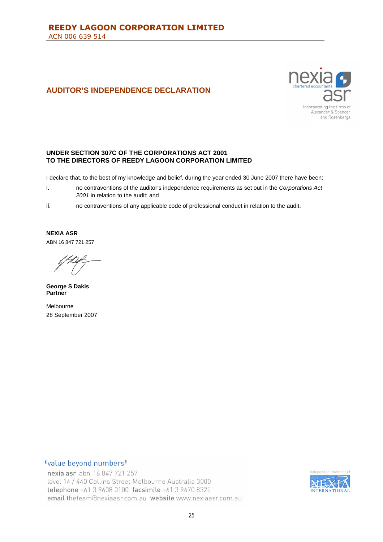# **AUDITOR'S INDEPENDENCE DECLARATION**



## **UNDER SECTION 307C OF THE CORPORATIONS ACT 2001 TO THE DIRECTORS OF REEDY LAGOON CORPORATION LIMITED**

I declare that, to the best of my knowledge and belief, during the year ended 30 June 2007 there have been:

- i. no contraventions of the auditor's independence requirements as set out in the *Corporations Act 2001* in relation to the audit; and
- ii. no contraventions of any applicable code of professional conduct in relation to the audit.

**NEXIA ASR** ABN 16 847 721 257

**George S Dakis Partner**

Melbourne 28 September 2007

## "value beyond numbers"

nexia asr abn 16 847 721 257 level 14 / 440 Collins Street Melbourne Australia 3000 telephone +61 3 9608 0100 facsimile +61 3 9670 8325 email theteam@nexiaasr.com.au website www.nexiaasr.com.au

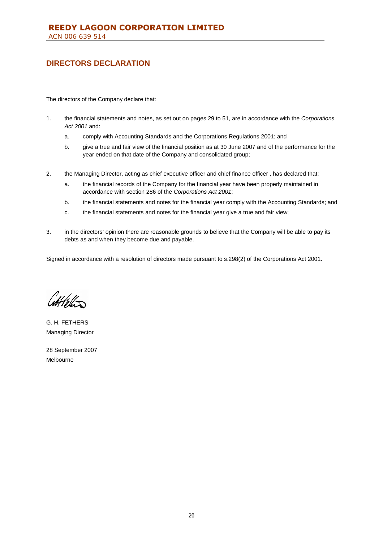# **DIRECTORS DECLARATION**

The directors of the Company declare that:

- 1. the financial statements and notes, as set out on pages 29 to 51, are in accordance with the *Corporations Act 2001* and:
	- a. comply with Accounting Standards and the Corporations Regulations 2001; and
	- b. give a true and fair view of the financial position as at 30 June 2007 and of the performance for the year ended on that date of the Company and consolidated group;
- 2. the Managing Director, acting as chief executive officer and chief finance officer , has declared that:
	- a. the financial records of the Company for the financial year have been properly maintained in accordance with section 286 of the *Corporations Act 2001*;
	- b. the financial statements and notes for the financial year comply with the Accounting Standards; and
	- c. the financial statements and notes for the financial year give a true and fair view;
- 3. in the directors' opinion there are reasonable grounds to believe that the Company will be able to pay its debts as and when they become due and payable.

Signed in accordance with a resolution of directors made pursuant to s.298(2) of the Corporations Act 2001.

 $\frac{1}{2}$ 

G. H. FETHERS Managing Director

28 September 2007 Melbourne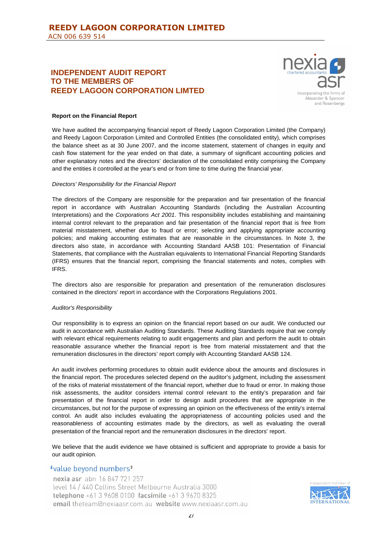# **INDEPENDENT AUDIT REPORT TO THE MEMBERS OF REEDY LAGOON CORPORATION LIMTED**



### **Report on the Financial Report**

We have audited the accompanying financial report of Reedy Lagoon Corporation Limited (the Company) and Reedy Lagoon Corporation Limited and Controlled Entities (the consolidated entity), which comprises the balance sheet as at 30 June 2007, and the income statement, statement of changes in equity and cash flow statement for the year ended on that date, a summary of significant accounting policies and other explanatory notes and the directors' declaration of the consolidated entity comprising the Company and the entities it controlled at the year's end or from time to time during the financial year.

#### *Directors' Responsibility for the Financial Report*

The directors of the Company are responsible for the preparation and fair presentation of the financial report in accordance with Australian Accounting Standards (including the Australian Accounting Interpretations) and the *Corporations Act 2001*. This responsibility includes establishing and maintaining internal control relevant to the preparation and fair presentation of the financial report that is free from material misstatement, whether due to fraud or error; selecting and applying appropriate accounting policies; and making accounting estimates that are reasonable in the circumstances. In Note 3, the directors also state, in accordance with Accounting Standard AASB 101: Presentation of Financial Statements, that compliance with the Australian equivalents to International Financial Reporting Standards (IFRS) ensures that the financial report, comprising the financial statements and notes, complies with IFRS.

The directors also are responsible for preparation and presentation of the remuneration disclosures contained in the directors' report in accordance with the Corporations Regulations 2001.

#### *Auditor's Responsibility*

Our responsibility is to express an opinion on the financial report based on our audit. We conducted our audit in accordance with Australian Auditing Standards. These Auditing Standards require that we comply with relevant ethical requirements relating to audit engagements and plan and perform the audit to obtain reasonable assurance whether the financial report is free from material misstatement and that the remuneration disclosures in the directors' report comply with Accounting Standard AASB 124.

An audit involves performing procedures to obtain audit evidence about the amounts and disclosures in the financial report. The procedures selected depend on the auditor's judgment, including the assessment of the risks of material misstatement of the financial report, whether due to fraud or error. In making those risk assessments, the auditor considers internal control relevant to the entity's preparation and fair presentation of the financial report in order to design audit procedures that are appropriate in the circumstances, but not for the purpose of expressing an opinion on the effectiveness of the entity's internal control. An audit also includes evaluating the appropriateness of accounting policies used and the reasonableness of accounting estimates made by the directors, as well as evaluating the overall presentation of the financial report and the remuneration disclosures in the directors' report.

We believe that the audit evidence we have obtained is sufficient and appropriate to provide a basis for our audit opinion.

## "value beyond numbers"

nexia asr abn 16 847 721 257 level 14 / 440 Collins Street Melbourne Australia 3000 telephone +61 3 9608 0100 facsimile +61 3 9670 8325 email theteam@nexiaasr.com.au website www.nexiaasr.com.au

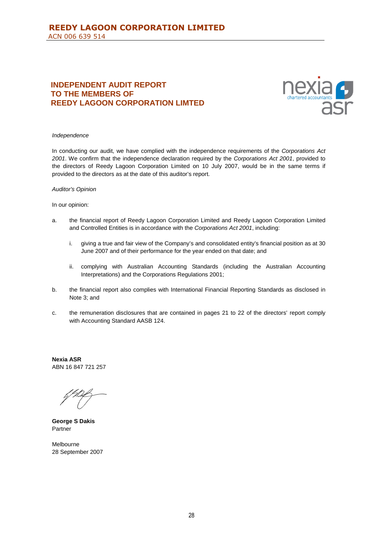# **INDEPENDENT AUDIT REPORT TO THE MEMBERS OF REEDY LAGOON CORPORATION LIMTED**



#### *Independence*

In conducting our audit, we have complied with the independence requirements of the *Corporations Act 2001*. We confirm that the independence declaration required by the *Corporations Act 2001*, provided to the directors of Reedy Lagoon Corporation Limited on 10 July 2007, would be in the same terms if provided to the directors as at the date of this auditor's report.

#### *Auditor's Opinion*

#### In our opinion:

- a. the financial report of Reedy Lagoon Corporation Limited and Reedy Lagoon Corporation Limited and Controlled Entities is in accordance with the *Corporations Act 2001*, including:
	- i. giving a true and fair view of the Company's and consolidated entity's financial position as at 30 June 2007 and of their performance for the year ended on that date; and
	- ii. complying with Australian Accounting Standards (including the Australian Accounting Interpretations) and the Corporations Regulations 2001;
- b. the financial report also complies with International Financial Reporting Standards as disclosed in Note 3; and
- c. the remuneration disclosures that are contained in pages 21 to 22 of the directors' report comply with Accounting Standard AASB 124.

**Nexia ASR** ABN 16 847 721 257

**George S Dakis** Partner

Melbourne 28 September 2007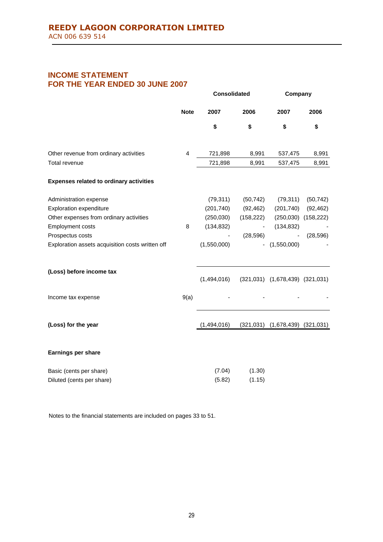# **INCOME STATEMENT FOR THE YEAR ENDED 30 JUNE 2007**

|                                                  |                | <b>Consolidated</b> |                          | Company                               |                         |  |
|--------------------------------------------------|----------------|---------------------|--------------------------|---------------------------------------|-------------------------|--|
|                                                  | <b>Note</b>    | 2007                | 2006                     | 2007                                  | 2006                    |  |
|                                                  |                | \$                  | \$                       | \$                                    | \$                      |  |
| Other revenue from ordinary activities           | $\overline{4}$ | 721,898             | 8,991                    | 537,475                               | 8,991                   |  |
| <b>Total revenue</b>                             |                | 721,898             | 8,991                    | 537,475                               | 8,991                   |  |
| <b>Expenses related to ordinary activities</b>   |                |                     |                          |                                       |                         |  |
| Administration expense                           |                | (79, 311)           | (50, 742)                | (79, 311)                             | (50, 742)               |  |
| Exploration expenditure                          |                | (201, 740)          | (92, 462)                | (201, 740)                            | (92, 462)               |  |
| Other expenses from ordinary activities          |                | (250, 030)          | (158, 222)               |                                       | $(250,030)$ $(158,222)$ |  |
| <b>Employment costs</b>                          | 8              | (134, 832)          | $\overline{\phantom{a}}$ | (134, 832)                            |                         |  |
| Prospectus costs                                 |                |                     | (28, 596)                |                                       | (28, 596)               |  |
| Exploration assets acquisition costs written off |                | (1,550,000)         | $\overline{\phantom{a}}$ | (1,550,000)                           |                         |  |
| (Loss) before income tax                         |                | (1,494,016)         |                          | $(321,031)$ $(1,678,439)$ $(321,031)$ |                         |  |
| Income tax expense                               | 9(a)           |                     |                          |                                       |                         |  |
| (Loss) for the year                              |                | (1,494,016)         | (321, 031)               | (1,678,439)                           | (321, 031)              |  |
| Earnings per share                               |                |                     |                          |                                       |                         |  |
| Basic (cents per share)                          |                | (7.04)              | (1.30)                   |                                       |                         |  |
| Diluted (cents per share)                        |                | (5.82)              | (1.15)                   |                                       |                         |  |

Notes to the financial statements are included on pages 33 to 51.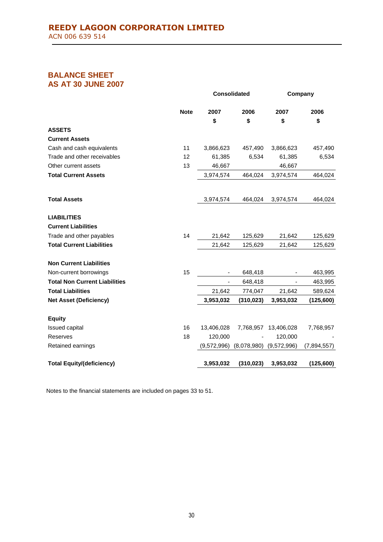# **BALANCE SHEET AS AT 30 JUNE 2007**

|                                      | <b>Consolidated</b> |             | Company     |             |
|--------------------------------------|---------------------|-------------|-------------|-------------|
| <b>Note</b>                          | 2007                | 2006        | 2007        | 2006        |
|                                      | \$                  | \$          | \$          | \$          |
| <b>ASSETS</b>                        |                     |             |             |             |
| <b>Current Assets</b>                |                     |             |             |             |
| Cash and cash equivalents<br>11      | 3,866,623           | 457,490     | 3,866,623   | 457,490     |
| Trade and other receivables<br>12    | 61,385              | 6,534       | 61,385      | 6,534       |
| 13<br>Other current assets           | 46,667              |             | 46,667      |             |
| <b>Total Current Assets</b>          | 3,974,574           | 464,024     | 3,974,574   | 464,024     |
| <b>Total Assets</b>                  | 3,974,574           | 464,024     | 3,974,574   | 464,024     |
| <b>LIABILITIES</b>                   |                     |             |             |             |
| <b>Current Liabilities</b>           |                     |             |             |             |
| 14<br>Trade and other payables       | 21,642              | 125,629     | 21,642      | 125,629     |
| <b>Total Current Liabilities</b>     | 21,642              | 125,629     | 21,642      | 125,629     |
| <b>Non Current Liabilities</b>       |                     |             |             |             |
| 15<br>Non-current borrowings         |                     | 648,418     |             | 463,995     |
| <b>Total Non Current Liabilities</b> |                     | 648,418     |             | 463,995     |
| <b>Total Liabilities</b>             | 21,642              | 774,047     | 21,642      | 589,624     |
| <b>Net Asset (Deficiency)</b>        | 3,953,032           | (310, 023)  | 3,953,032   | (125, 600)  |
| <b>Equity</b>                        |                     |             |             |             |
| 16<br>Issued capital                 | 13,406,028          | 7,768,957   | 13,406,028  | 7,768,957   |
| 18<br>Reserves                       | 120,000             |             | 120,000     |             |
| Retained earnings                    | (9,572,996)         | (8,078,980) | (9,572,996) | (7,894,557) |
| <b>Total Equity/(deficiency)</b>     | 3,953,032           | (310, 023)  | 3,953,032   | (125,600)   |

Notes to the financial statements are included on pages 33 to 51.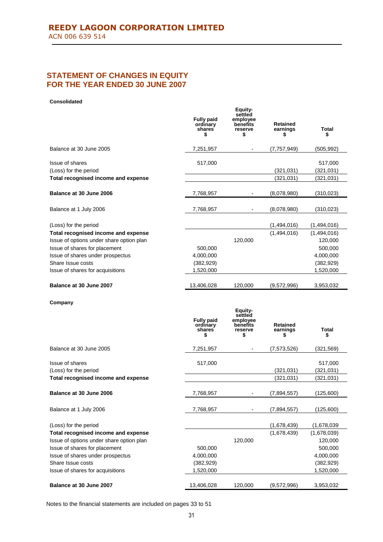# **STATEMENT OF CHANGES IN EQUITY FOR THE YEAR ENDED 30 JUNE 2007**

#### **Consolidated**

|                                          | <b>Fully paid</b><br>ordinary<br>shares<br>5  | Equity-<br>settled<br>employee<br>benefits<br>reserve<br>5  | <b>Retained</b><br>earnings<br>\$ | Total<br>\$ |
|------------------------------------------|-----------------------------------------------|-------------------------------------------------------------|-----------------------------------|-------------|
| Balance at 30 June 2005                  | 7,251,957                                     |                                                             | (7, 757, 949)                     | (505, 992)  |
| <b>Issue of shares</b>                   | 517,000                                       |                                                             |                                   | 517,000     |
| (Loss) for the period                    |                                               |                                                             | (321, 031)                        | (321, 031)  |
| Total recognised income and expense      |                                               |                                                             | (321, 031)                        | (321, 031)  |
| Balance at 30 June 2006                  | 7,768,957                                     |                                                             | (8,078,980)                       | (310, 023)  |
| Balance at 1 July 2006                   | 7,768,957                                     |                                                             | (8,078,980)                       | (310,023)   |
| (Loss) for the period                    |                                               |                                                             | (1,494,016)                       | (1,494,016) |
| Total recognised income and expense      |                                               |                                                             | (1,494,016)                       | (1,494,016) |
| Issue of options under share option plan |                                               | 120,000                                                     |                                   | 120,000     |
| Issue of shares for placement            | 500,000                                       |                                                             |                                   | 500,000     |
| Issue of shares under prospectus         | 4,000,000                                     |                                                             |                                   | 4,000,000   |
| Share Issue costs                        | (382, 929)                                    |                                                             |                                   | (382, 929)  |
| Issue of shares for acquisitions         | 1,520,000                                     |                                                             |                                   | 1,520,000   |
| Balance at 30 June 2007                  | 13,406,028                                    | 120,000                                                     | (9,572,996)                       | 3,953,032   |
| Company                                  | <b>Fully paid</b><br>ordinary<br>shares<br>\$ | Equity-<br>settled<br>employee<br>benefits<br>reserve<br>\$ | <b>Retained</b><br>earnings<br>\$ | Total<br>\$ |
| Balance at 30 June 2005                  | 7,251,957                                     |                                                             | (7,573,526)                       | (321,569)   |
| Issue of shares                          | 517,000                                       |                                                             |                                   | 517,000     |
| (Loss) for the period                    |                                               |                                                             | (321, 031)                        | (321, 031)  |
| Total recognised income and expense      |                                               |                                                             | (321,031)                         | (321, 031)  |
| Balance at 30 June 2006                  | 7,768,957                                     |                                                             | (7,894,557)                       | (125,600)   |
| Balance at 1 July 2006                   | 7,768,957                                     |                                                             | (7,894,557)                       | (125,600)   |
| (Loss) for the period                    |                                               |                                                             | (1,678,439)                       | (1,678,039) |
| Total recognised income and expense      |                                               |                                                             | (1,678,439)                       | (1,678,039) |
| Issue of options under share option plan |                                               | 120,000                                                     |                                   | 120,000     |
| Issue of shares for placement            | 500,000                                       |                                                             |                                   | 500,000     |
| Issue of shares under prospectus         | 4,000,000                                     |                                                             |                                   | 4,000,000   |
| Share Issue costs                        | (382, 929)                                    |                                                             |                                   | (382, 929)  |
| Issue of shares for acquisitions         | 1,520,000                                     |                                                             |                                   | 1,520,000   |
| Balance at 30 June 2007                  | 13,406,028                                    | 120,000                                                     | (9,572,996)                       | 3,953,032   |

Notes to the financial statements are included on pages 33 to 51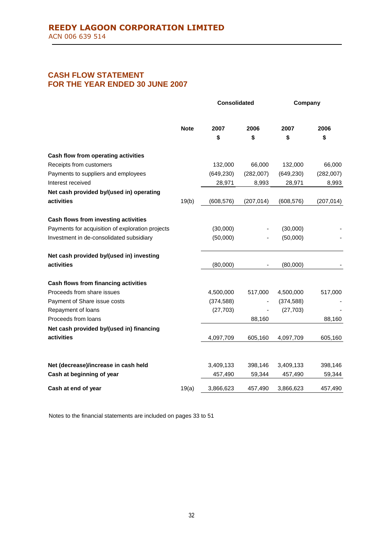# **CASH FLOW STATEMENT FOR THE YEAR ENDED 30 JUNE 2007**

|                                                  |             | <b>Consolidated</b> |            | Company    |            |  |
|--------------------------------------------------|-------------|---------------------|------------|------------|------------|--|
|                                                  | <b>Note</b> | 2007<br>\$          | 2006<br>\$ | 2007<br>\$ | 2006<br>\$ |  |
| Cash flow from operating activities              |             |                     |            |            |            |  |
| Receipts from customers                          |             | 132,000             | 66,000     | 132,000    | 66,000     |  |
| Payments to suppliers and employees              |             | (649, 230)          | (282,007)  | (649, 230) | (282,007)  |  |
| Interest received                                |             | 28,971              | 8,993      | 28,971     | 8,993      |  |
| Net cash provided by/(used in) operating         |             |                     |            |            |            |  |
| activities                                       | 19(b)       | (608, 576)          | (207, 014) | (608, 576) | (207, 014) |  |
| Cash flows from investing activities             |             |                     |            |            |            |  |
| Payments for acquisition of exploration projects |             | (30,000)            |            | (30,000)   |            |  |
| Investment in de-consolidated subsidiary         |             | (50,000)            |            | (50,000)   |            |  |
| Net cash provided by/(used in) investing         |             |                     |            |            |            |  |
| activities                                       |             | (80,000)            |            | (80,000)   |            |  |
| Cash flows from financing activities             |             |                     |            |            |            |  |
| Proceeds from share issues                       |             | 4,500,000           | 517,000    | 4,500,000  | 517,000    |  |
| Payment of Share issue costs                     |             | (374, 588)          |            | (374, 588) |            |  |
| Repayment of loans                               |             | (27, 703)           |            | (27, 703)  |            |  |
| Proceeds from loans                              |             |                     | 88,160     |            | 88,160     |  |
| Net cash provided by/(used in) financing         |             |                     |            |            |            |  |
| activities                                       |             | 4,097,709           | 605,160    | 4,097,709  | 605,160    |  |
|                                                  |             |                     |            |            |            |  |
| Net (decrease)/increase in cash held             |             | 3,409,133           | 398,146    | 3,409,133  | 398,146    |  |
| Cash at beginning of year                        |             | 457,490             | 59,344     | 457,490    | 59,344     |  |
| Cash at end of year                              | 19(a)       | 3,866,623           | 457,490    | 3,866,623  | 457,490    |  |

Notes to the financial statements are included on pages 33 to 51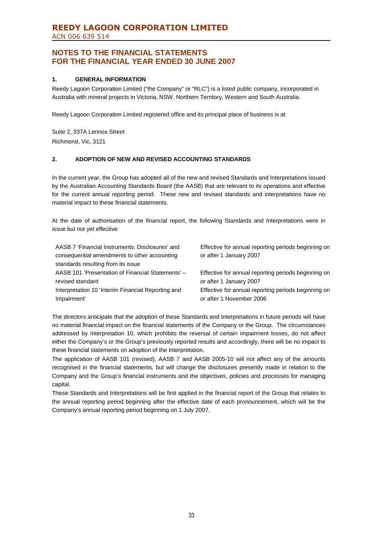# **REEDY LAGOON CORPORATION LIMITED** ACN 006 639 514

# **NOTES TO THE FINANCIAL STATEMENTS FOR THE FINANCIAL YEAR ENDED 30 JUNE 2007**

## **1. GENERAL INFORMATION**

Reedy Lagoon Corporation Limited ("the Company" or "RLC") is a listed public company, incorporated in Australia with mineral projects in Victoria, NSW, Northern Territory, Western and South Australia.

Reedy Lagoon Corporation Limited registered office and its principal place of business is at:

Suite 2, 337A Lennox Street Richmond, Vic, 3121

## **2. ADOPTION OF NEW AND REVISED ACCOUNTING STANDARDS**

In the current year, the Group has adopted all of the new and revised Standards and Interpretations issued by the Australian Accounting Standards Board (the AASB) that are relevant to its operations and effective for the current annual reporting period. These new and revised standards and interpretations have no material impact to these financial statements.

At the date of authorisation of the financial report, the following Standards and Interpretations were in issue but not yet effective:

| AASB 7 'Financial Instruments: Disclosures' and<br>consequential amendments to other accounting<br>standards resulting from its issue | Effective for annual reporting periods beginning on<br>or after 1 January 2007 |
|---------------------------------------------------------------------------------------------------------------------------------------|--------------------------------------------------------------------------------|
| AASB 101 'Presentation of Financial Statements' -                                                                                     | Effective for annual reporting periods beginning on                            |
| revised standard                                                                                                                      | or after 1 January 2007                                                        |
| Interpretation 10 'Interim Financial Reporting and                                                                                    | Effective for annual reporting periods beginning on                            |
| Impairment'                                                                                                                           | or after 1 November 2006                                                       |

The directors anticipate that the adoption of these Standards and Interpretations in future periods will have no material financial impact on the financial statements of the Company or the Group. The circumstances addressed by Interpretation 10, which prohibits the reversal of certain impairment losses, do not affect either the Company's or the Group's previously reported results and accordingly, there will be no impact to these financial statements on adoption of the Interpretation.

The application of AASB 101 (revised), AASB 7 and AASB 2005-10 will not affect any of the amounts recognised in the financial statements, but will change the disclosures presently made in relation to the Company and the Group's financial instruments and the objectives, policies and processes for managing capital.

These Standards and Interpretations will be first applied in the financial report of the Group that relates to the annual reporting period beginning after the effective date of each pronouncement, which will be the Company's annual reporting period beginning on 1 July 2007.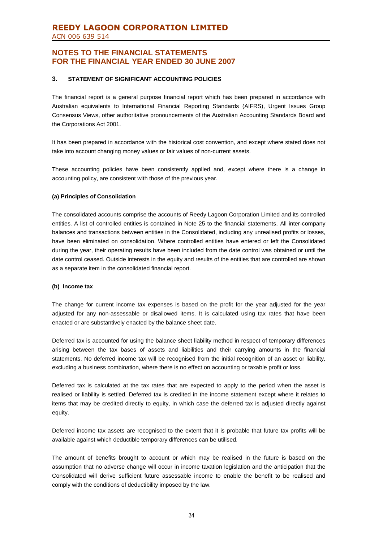### **3. STATEMENT OF SIGNIFICANT ACCOUNTING POLICIES**

The financial report is a general purpose financial report which has been prepared in accordance with Australian equivalents to International Financial Reporting Standards (AIFRS), Urgent Issues Group Consensus Views, other authoritative pronouncements of the Australian Accounting Standards Board and the Corporations Act 2001.

It has been prepared in accordance with the historical cost convention, and except where stated does not take into account changing money values or fair values of non-current assets.

These accounting policies have been consistently applied and, except where there is a change in accounting policy, are consistent with those of the previous year.

### **(a) Principles of Consolidation**

The consolidated accounts comprise the accounts of Reedy Lagoon Corporation Limited and its controlled entities. A list of controlled entities is contained in Note 25 to the financial statements. All inter-company balances and transactions between entities in the Consolidated, including any unrealised profits or losses, have been eliminated on consolidation. Where controlled entities have entered or left the Consolidated during the year, their operating results have been included from the date control was obtained or until the date control ceased. Outside interests in the equity and results of the entities that are controlled are shown as a separate item in the consolidated financial report.

#### **(b) Income tax**

The change for current income tax expenses is based on the profit for the year adjusted for the year adjusted for any non-assessable or disallowed items. It is calculated using tax rates that have been enacted or are substantively enacted by the balance sheet date.

Deferred tax is accounted for using the balance sheet liability method in respect of temporary differences arising between the tax bases of assets and liabilities and their carrying amounts in the financial statements. No deferred income tax will be recognised from the initial recognition of an asset or liability, excluding a business combination, where there is no effect on accounting or taxable profit or loss.

Deferred tax is calculated at the tax rates that are expected to apply to the period when the asset is realised or liability is settled. Deferred tax is credited in the income statement except where it relates to items that may be credited directly to equity, in which case the deferred tax is adjusted directly against equity.

Deferred income tax assets are recognised to the extent that it is probable that future tax profits will be available against which deductible temporary differences can be utilised.

The amount of benefits brought to account or which may be realised in the future is based on the assumption that no adverse change will occur in income taxation legislation and the anticipation that the Consolidated will derive sufficient future assessable income to enable the benefit to be realised and comply with the conditions of deductibility imposed by the law.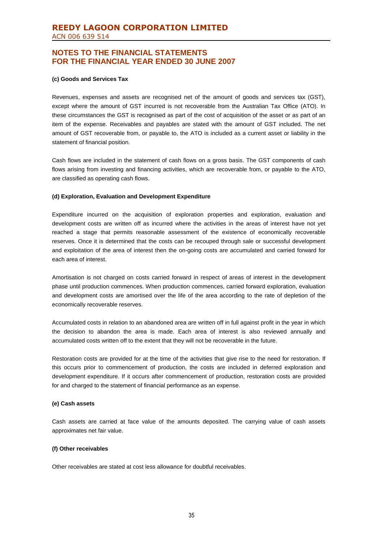### **(c) Goods and Services Tax**

Revenues, expenses and assets are recognised net of the amount of goods and services tax (GST), except where the amount of GST incurred is not recoverable from the Australian Tax Office (ATO). In these circumstances the GST is recognised as part of the cost of acquisition of the asset or as part of an item of the expense. Receivables and payables are stated with the amount of GST included. The net amount of GST recoverable from, or payable to, the ATO is included as a current asset or liability in the statement of financial position.

Cash flows are included in the statement of cash flows on a gross basis. The GST components of cash flows arising from investing and financing activities, which are recoverable from, or payable to the ATO, are classified as operating cash flows.

### **(d) Exploration, Evaluation and Development Expenditure**

Expenditure incurred on the acquisition of exploration properties and exploration, evaluation and development costs are written off as incurred where the activities in the areas of interest have not yet reached a stage that permits reasonable assessment of the existence of economically recoverable reserves. Once it is determined that the costs can be recouped through sale or successful development and exploitation of the area of interest then the on-going costs are accumulated and carried forward for each area of interest.

Amortisation is not charged on costs carried forward in respect of areas of interest in the development phase until production commences. When production commences, carried forward exploration, evaluation and development costs are amortised over the life of the area according to the rate of depletion of the economically recoverable reserves.

Accumulated costs in relation to an abandoned area are written off in full against profit in the year in which the decision to abandon the area is made. Each area of interest is also reviewed annually and accumulated costs written off to the extent that they will not be recoverable in the future.

Restoration costs are provided for at the time of the activities that give rise to the need for restoration. If this occurs prior to commencement of production, the costs are included in deferred exploration and development expenditure. If it occurs after commencement of production, restoration costs are provided for and charged to the statement of financial performance as an expense.

#### **(e) Cash assets**

Cash assets are carried at face value of the amounts deposited. The carrying value of cash assets approximates net fair value.

#### **(f) Other receivables**

Other receivables are stated at cost less allowance for doubtful receivables.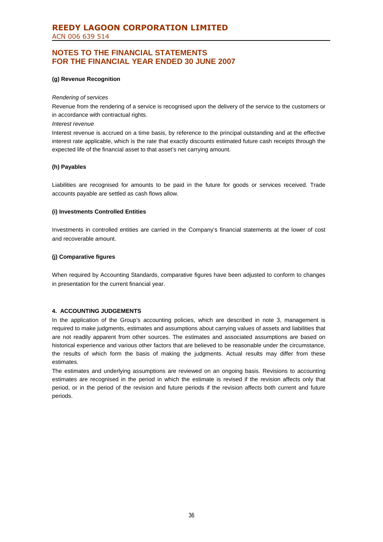### **(g) Revenue Recognition**

#### *Rendering of services*

Revenue from the rendering of a service is recognised upon the delivery of the service to the customers or in accordance with contractual rights.

#### *Interest revenue*

Interest revenue is accrued on a time basis, by reference to the principal outstanding and at the effective interest rate applicable, which is the rate that exactly discounts estimated future cash receipts through the expected life of the financial asset to that asset's net carrying amount.

### **(h) Payables**

Liabilities are recognised for amounts to be paid in the future for goods or services received. Trade accounts payable are settled as cash flows allow.

### **(i) Investments Controlled Entities**

Investments in controlled entities are carried in the Company's financial statements at the lower of cost and recoverable amount.

### **(j) Comparative figures**

When required by Accounting Standards, comparative figures have been adjusted to conform to changes in presentation for the current financial year.

### **4. ACCOUNTING JUDGEMENTS**

In the application of the Group's accounting policies, which are described in note 3, management is required to make judgments, estimates and assumptions about carrying values of assets and liabilities that are not readily apparent from other sources. The estimates and associated assumptions are based on historical experience and various other factors that are believed to be reasonable under the circumstance, the results of which form the basis of making the judgments. Actual results may differ from these estimates.

The estimates and underlying assumptions are reviewed on an ongoing basis. Revisions to accounting estimates are recognised in the period in which the estimate is revised if the revision affects only that period, or in the period of the revision and future periods if the revision affects both current and future periods.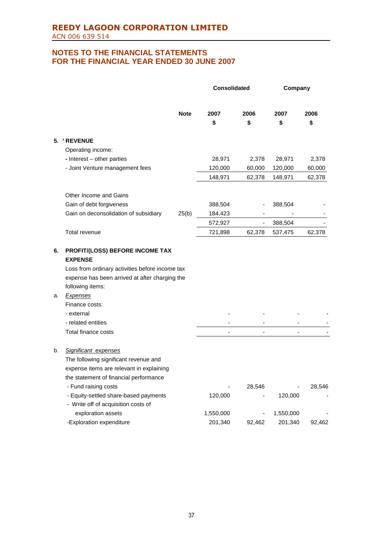|    |                                                 |             | <b>Consolidated</b> |        | Company   |        |
|----|-------------------------------------------------|-------------|---------------------|--------|-----------|--------|
|    |                                                 | <b>Note</b> | 2007                | 2006   | 2007      | 2006   |
|    |                                                 |             | \$                  | \$     | \$        | \$     |
|    | 5. / REVENUE                                    |             |                     |        |           |        |
|    | Operating income:                               |             |                     |        |           |        |
|    | - Interest - other parties                      |             | 28,971              | 2,378  | 28,971    | 2,378  |
|    | - Joint Venture management fees                 |             | 120,000             | 60,000 | 120,000   | 60,000 |
|    |                                                 |             | 148,971             | 62,378 | 148,971   | 62,378 |
|    | Other Income and Gains                          |             |                     |        |           |        |
|    | Gain of debt forgiveness                        |             | 388,504             |        | 388,504   |        |
|    | Gain on deconsolidation of subsidiary           | 25(b)       | 184,423             |        |           |        |
|    |                                                 |             | 572,927             | -      | 388,504   |        |
|    | Total revenue                                   |             | 721,898             | 62,378 | 537,475   | 62,378 |
|    |                                                 |             |                     |        |           |        |
| 6. | PROFIT/(LOSS) BEFORE INCOME TAX                 |             |                     |        |           |        |
|    | <b>EXPENSE</b>                                  |             |                     |        |           |        |
|    | Loss from ordinary activities before income tax |             |                     |        |           |        |
|    | expense has been arrived at after charging the  |             |                     |        |           |        |
|    | following items:                                |             |                     |        |           |        |
| a. | <b>Expenses</b>                                 |             |                     |        |           |        |
|    | Finance costs:                                  |             |                     |        |           |        |
|    | - external                                      |             |                     |        |           |        |
|    | - related entities                              |             |                     |        |           |        |
|    | Total finance costs                             |             |                     |        |           |        |
| b. | Significant expenses                            |             |                     |        |           |        |
|    | The following significant revenue and           |             |                     |        |           |        |
|    | expense items are relevant in explaining        |             |                     |        |           |        |
|    | the statement of financial performance          |             |                     |        |           |        |
|    | - Fund raising costs                            |             |                     | 28,546 |           | 28,546 |
|    | - Equity-settled share-based payments           |             | 120,000             |        | 120,000   |        |
|    | - Write off of acquisition costs of             |             |                     |        |           |        |
|    | exploration assets                              |             | 1,550,000           |        | 1,550,000 |        |
|    | -Exploration expenditure                        |             | 201,340             | 92,462 | 201,340   | 92,462 |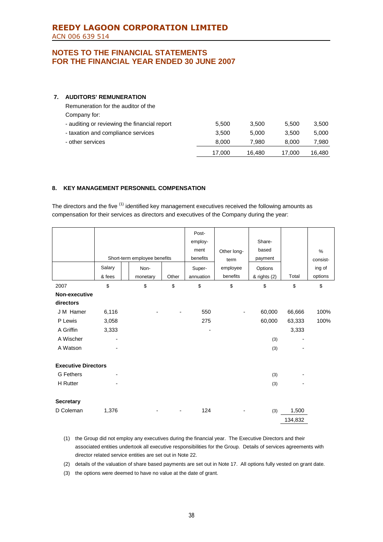## **7. AUDITORS' REMUNERATION**

| Remuneration for the auditor of the          |        |        |        |        |
|----------------------------------------------|--------|--------|--------|--------|
| Company for:                                 |        |        |        |        |
| - auditing or reviewing the financial report | 5.500  | 3.500  | 5.500  | 3,500  |
| - taxation and compliance services           | 3.500  | 5.000  | 3.500  | 5,000  |
| - other services                             | 8.000  | 7.980  | 8.000  | 7,980  |
|                                              | 17.000 | 16.480 | 17.000 | 16.480 |

## **8. KEY MANAGEMENT PERSONNEL COMPENSATION**

The directors and the five <sup>(1)</sup> identified key management executives received the following amounts as compensation for their services as directors and executives of the Company during the year:

|                            |                          |                              |       | Post-     |             |              |         |          |
|----------------------------|--------------------------|------------------------------|-------|-----------|-------------|--------------|---------|----------|
|                            |                          |                              |       | employ-   |             | Share-       |         |          |
|                            |                          |                              |       | ment      | Other long- | based        |         | $\%$     |
|                            |                          | Short-term employee benefits |       | benefits  | term        | payment      |         | consist- |
|                            | Salary                   | Non-                         |       | Super-    | employee    | Options      |         | ing of   |
|                            | & fees                   | monetary                     | Other | annuation | benefits    | & rights (2) | Total   | options  |
| 2007                       | \$                       | $\,$                         | \$    | \$        | \$          | \$           | \$      | \$       |
| Non-executive              |                          |                              |       |           |             |              |         |          |
| directors                  |                          |                              |       |           |             |              |         |          |
| J M Hamer                  | 6,116                    |                              |       | 550       |             | 60,000       | 66,666  | 100%     |
| P Lewis                    | 3,058                    |                              |       | 275       |             | 60,000       | 63,333  | 100%     |
| A Griffin                  | 3,333                    |                              |       |           |             |              | 3,333   |          |
| A Wischer                  | $\overline{\phantom{0}}$ |                              |       |           |             | (3)          |         |          |
| A Watson                   |                          |                              |       |           |             | (3)          |         |          |
|                            |                          |                              |       |           |             |              |         |          |
| <b>Executive Directors</b> |                          |                              |       |           |             |              |         |          |
| <b>G</b> Fethers           |                          |                              |       |           |             | (3)          |         |          |
| H Rutter                   |                          |                              |       |           |             | (3)          |         |          |
|                            |                          |                              |       |           |             |              |         |          |
| <b>Secretary</b>           |                          |                              |       |           |             |              |         |          |
| D Coleman                  | 1,376                    |                              |       | 124       |             | (3)          | 1,500   |          |
|                            |                          |                              |       |           |             |              | 134,832 |          |

- (1) the Group did not employ any executives during the financial year. The Executive Directors and their associated entities undertook all executive responsibilities for the Group. Details of services agreements with director related service entities are set out in Note 22.
- (2) details of the valuation of share based payments are set out in Note 17. All options fully vested on grant date.
- (3) the options were deemed to have no value at the date of grant.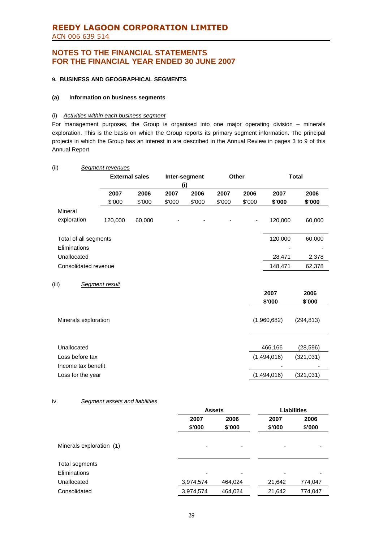# **REEDY LAGOON CORPORATION LIMITED** ACN 006 639 514

# **NOTES TO THE FINANCIAL STATEMENTS FOR THE FINANCIAL YEAR ENDED 30 JUNE 2007**

### **9. BUSINESS AND GEOGRAPHICAL SEGMENTS**

### **(a) Information on business segments**

### (i) *Activities within each business segment*

For management purposes, the Group is organised into one major operating division – minerals exploration. This is the basis on which the Group reports its primary segment information. The principal projects in which the Group has an interest in are described in the Annual Review in pages 3 to 9 of this Annual Report

| (ii)                  | <b>Segment revenues</b> |        |        |               |        |              |             |              |
|-----------------------|-------------------------|--------|--------|---------------|--------|--------------|-------------|--------------|
|                       | <b>External sales</b>   |        |        | Inter-segment |        | <b>Other</b> |             | <b>Total</b> |
|                       |                         |        |        | (i)           |        |              |             |              |
|                       | 2007                    | 2006   | 2007   | 2006          | 2007   | 2006         | 2007        | 2006         |
|                       | \$'000                  | \$'000 | \$'000 | \$'000        | \$'000 | \$'000       | \$'000      | \$'000       |
| Mineral               |                         |        |        |               |        |              |             |              |
| exploration           | 120,000                 | 60,000 |        |               |        |              | 120,000     | 60,000       |
| Total of all segments |                         |        |        |               |        |              | 120,000     | 60,000       |
| Eliminations          |                         |        |        |               |        |              |             |              |
| Unallocated           |                         |        |        |               |        |              | 28,471      | 2,378        |
| Consolidated revenue  |                         |        |        |               |        |              | 148,471     | 62,378       |
| (iii)                 | Segment result          |        |        |               |        |              |             |              |
|                       |                         |        |        |               |        |              | 2007        | 2006         |
|                       |                         |        |        |               |        |              | \$'000      | \$'000       |
|                       |                         |        |        |               |        |              |             |              |
| Minerals exploration  |                         |        |        |               |        |              | (1,960,682) | (294, 813)   |
|                       |                         |        |        |               |        |              |             |              |
| Unallocated           |                         |        |        |               |        |              | 466,166     | (28, 596)    |
| Loss before tax       |                         |        |        |               |        |              | (1,494,016) | (321, 031)   |
| Income tax benefit    |                         |        |        |               |        |              |             |              |
| Loss for the year     |                         |        |        |               |        |              | (1,494,016) | (321, 031)   |

### iv. *Segment assets and liabilities*

|                          | <b>Assets</b>            |                          | <b>Liabilities</b>       |                          |  |
|--------------------------|--------------------------|--------------------------|--------------------------|--------------------------|--|
|                          | 2006<br>2007             |                          | 2007                     | 2006                     |  |
|                          | \$'000                   | \$'000                   | \$'000                   | \$'000                   |  |
|                          |                          |                          |                          |                          |  |
| Minerals exploration (1) | $\overline{\phantom{0}}$ | $\overline{\phantom{0}}$ | $\overline{\phantom{0}}$ | $\overline{\phantom{0}}$ |  |
| Total segments           |                          |                          |                          |                          |  |
| <b>Eliminations</b>      | -                        | $\overline{\phantom{0}}$ |                          | $\overline{\phantom{0}}$ |  |
| Unallocated              | 3,974,574                | 464,024                  | 21,642                   | 774,047                  |  |
| Consolidated             | 3,974,574                | 464,024                  | 21,642                   | 774,047                  |  |
|                          |                          |                          |                          |                          |  |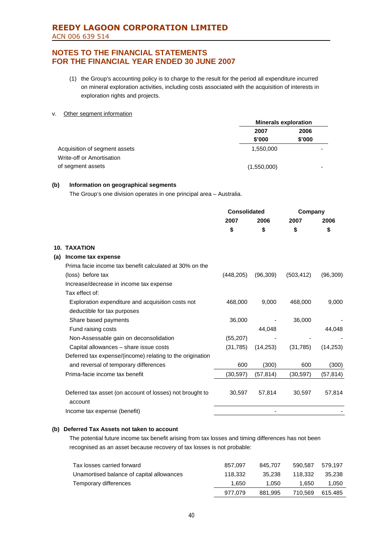- (1) the Group's accounting policy is to charge to the result for the period all expenditure incurred on mineral exploration activities, including costs associated with the acquisition of interests in exploration rights and projects.
- v. Other segment information

|                               | <b>Minerals exploration</b> |        |
|-------------------------------|-----------------------------|--------|
|                               | 2007                        | 2006   |
|                               | \$'000                      | \$'000 |
| Acquisition of segment assets | 1.550.000                   |        |
| Write-off or Amortisation     |                             |        |
| of segment assets             | (1,550,000)                 |        |

### **(b) Information on geographical segments**

The Group's one division operates in one principal area – Australia.

|     |                                                                     | <b>Consolidated</b> |           | Company    |           |
|-----|---------------------------------------------------------------------|---------------------|-----------|------------|-----------|
|     |                                                                     | 2007                | 2006      | 2007       | 2006      |
|     |                                                                     | \$                  | \$        | \$         | \$        |
|     | <b>10. TAXATION</b>                                                 |                     |           |            |           |
| (a) | Income tax expense                                                  |                     |           |            |           |
|     | Prima facie income tax benefit calculated at 30% on the             |                     |           |            |           |
|     | (loss) before tax                                                   | (448, 205)          | (96, 309) | (503, 412) | (96, 309) |
|     | Increase/decrease in income tax expense                             |                     |           |            |           |
|     | Tax effect of:                                                      |                     |           |            |           |
|     | Exploration expenditure and acquisition costs not                   | 468,000             | 9,000     | 468,000    | 9,000     |
|     | deductible for tax purposes                                         |                     |           |            |           |
|     | Share based payments                                                | 36,000              |           | 36,000     |           |
|     | Fund raising costs                                                  |                     | 44,048    |            | 44,048    |
|     | Non-Assessable gain on deconsolidation                              | (55, 207)           |           |            |           |
|     | Capital allowances - share issue costs                              | (31, 785)           | (14, 253) | (31,785)   | (14, 253) |
|     | Deferred tax expense/(income) relating to the origination           |                     |           |            |           |
|     | and reversal of temporary differences                               | 600                 | (300)     | 600        | (300)     |
|     | Prima-facie income tax benefit                                      | (30, 597)           | (57, 814) | (30, 597)  | (57, 814) |
|     | Deferred tax asset (on account of losses) not brought to<br>account | 30,597              | 57,814    | 30,597     | 57,814    |
|     | Income tax expense (benefit)                                        |                     |           |            |           |
|     |                                                                     |                     |           |            |           |

### **(b) Deferred Tax Assets not taken to account**

The potential future income tax benefit arising from tax losses and timing differences has not been recognised as an asset because recovery of tax losses is not probable:

| Tax losses carried forward                | 857.097 | 845.707 | 590.587 | 579.197 |
|-------------------------------------------|---------|---------|---------|---------|
| Unamortised balance of capital allowances | 118.332 | 35.238  | 118.332 | 35.238  |
| Temporary differences                     | 1.650   | 1.050   | 1.650   | 1,050   |
|                                           | 977.079 | 881.995 | 710.569 | 615.485 |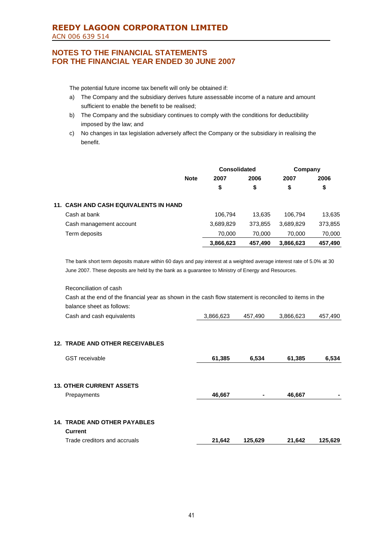# **REEDY LAGOON CORPORATION LIMITED** ACN 006 639 514

# **NOTES TO THE FINANCIAL STATEMENTS FOR THE FINANCIAL YEAR ENDED 30 JUNE 2007**

The potential future income tax benefit will only be obtained if:

- a) The Company and the subsidiary derives future assessable income of a nature and amount sufficient to enable the benefit to be realised;
- b) The Company and the subsidiary continues to comply with the conditions for deductibility imposed by the law; and
- c) No changes in tax legislation adversely affect the Company or the subsidiary in realising the benefit.

|                                              |             | <b>Consolidated</b> |         | Company   |         |
|----------------------------------------------|-------------|---------------------|---------|-----------|---------|
|                                              | <b>Note</b> | 2007                | 2006    | 2007      | 2006    |
|                                              |             | \$                  | \$      | \$        | \$      |
| <b>11. CASH AND CASH EQUIVALENTS IN HAND</b> |             |                     |         |           |         |
| Cash at bank                                 |             | 106,794             | 13.635  | 106.794   | 13,635  |
| Cash management account                      |             | 3,689,829           | 373.855 | 3,689,829 | 373,855 |
| Term deposits                                |             | 70,000              | 70,000  | 70.000    | 70,000  |
|                                              |             | 3,866,623           | 457,490 | 3,866,623 | 457,490 |

The bank short term deposits mature within 60 days and pay interest at a weighted average interest rate of 5.0% at 30 June 2007. These deposits are held by the bank as a guarantee to Ministry of Energy and Resources.

Reconciliation of cash Cash at the end of the financial year as shown in the cash flow statement is reconciled to items in the balance sheet as follows:

| Cash and cash equivalents              | 3,866,623 | 457,490 | 3,866,623 | 457,490 |
|----------------------------------------|-----------|---------|-----------|---------|
|                                        |           |         |           |         |
| <b>12. TRADE AND OTHER RECEIVABLES</b> |           |         |           |         |
| <b>GST</b> receivable                  | 61,385    | 6,534   | 61,385    | 6,534   |
|                                        |           |         |           |         |
| <b>13. OTHER CURRENT ASSETS</b>        |           |         |           |         |
| Prepayments                            | 46,667    | ۰       | 46,667    |         |
|                                        |           |         |           |         |
| 14. TRADE AND OTHER PAYABLES           |           |         |           |         |
| <b>Current</b>                         |           |         |           |         |
| Trade creditors and accruals           | 21,642    | 125,629 | 21,642    | 125,629 |
|                                        |           |         |           |         |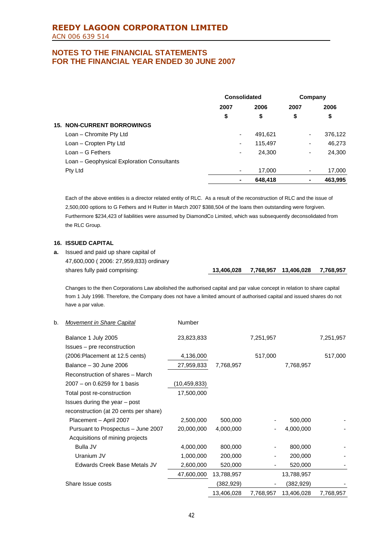|                                            | Consolidated |         | Company                  |         |
|--------------------------------------------|--------------|---------|--------------------------|---------|
|                                            | 2007         | 2006    | 2007                     | 2006    |
|                                            | \$           | \$      | \$                       | \$      |
| <b>15. NON-CURRENT BORROWINGS</b>          |              |         |                          |         |
| Loan - Chromite Pty Ltd                    | ٠            | 491,621 | $\overline{\phantom{a}}$ | 376,122 |
| Loan - Cropten Pty Ltd                     | ۰            | 115,497 | ٠                        | 46,273  |
| $Loan - G Fethers$                         | ٠            | 24,300  | ٠                        | 24,300  |
| Loan - Geophysical Exploration Consultants |              |         |                          |         |
| Pty Ltd                                    | ٠            | 17,000  | ٠                        | 17,000  |
|                                            | ۰            | 648,418 | ۰                        | 463.995 |

Each of the above entities is a director related entity of RLC. As a result of the reconstruction of RLC and the issue of 2,500,000 options to G Fethers and H Rutter in March 2007 \$388,504 of the loans then outstanding were forgiven. Furthermore \$234,423 of liabilities were assumed by DiamondCo Limited, which was subsequently deconsolidated from the RLC Group.

## **16. ISSUED CAPITAL**

have a par value.

**a.** Issued and paid up share capital of 47,600,000 ( 2006: 27,959,833) ordinary shares fully paid comprising: **13,406,028 7,768,957 13,406,028 7,768,957**

Changes to the then Corporations Law abolished the authorised capital and par value concept in relation to share capital from 1 July 1998. Therefore, the Company does not have a limited amount of authorised capital and issued shares do not

### b. *Movement in Share Capital* Number

| Balance 1 July 2005                    | 23,823,833   |            | 7,251,957 |            | 7,251,957 |
|----------------------------------------|--------------|------------|-----------|------------|-----------|
| Issues – pre reconstruction            |              |            |           |            |           |
| (2006: Placement at 12.5 cents)        | 4,136,000    |            | 517,000   |            | 517,000   |
| Balance - 30 June 2006                 | 27,959,833   | 7,768,957  |           | 7,768,957  |           |
| Reconstruction of shares – March       |              |            |           |            |           |
| $2007 -$ on 0.6259 for 1 basis         | (10,459,833) |            |           |            |           |
| Total post re-construction             | 17,500,000   |            |           |            |           |
| Issues during the year – post          |              |            |           |            |           |
| reconstruction (at 20 cents per share) |              |            |           |            |           |
| Placement - April 2007                 | 2,500,000    | 500,000    |           | 500,000    |           |
| Pursuant to Prospectus - June 2007     | 20,000,000   | 4,000,000  |           | 4,000,000  |           |
| Acquisitions of mining projects        |              |            |           |            |           |
| Bulla JV                               | 4,000,000    | 800,000    |           | 800,000    |           |
| Uranium JV                             | 1,000,000    | 200,000    |           | 200,000    |           |
| Edwards Creek Base Metals JV           | 2,600,000    | 520,000    |           | 520,000    |           |
|                                        | 47,600,000   | 13,788,957 |           | 13,788,957 |           |
| Share Issue costs                      |              | (382,929)  |           | (382, 929) |           |
|                                        |              | 13,406,028 | 7,768,957 | 13,406,028 | 7,768,957 |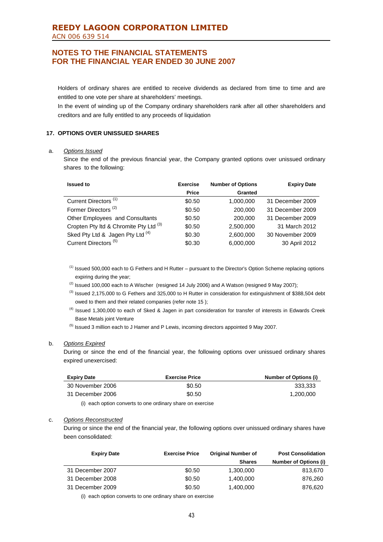## **REEDY LAGOON CORPORATION LIMITED** ACN 006 639 514

# **NOTES TO THE FINANCIAL STATEMENTS FOR THE FINANCIAL YEAR ENDED 30 JUNE 2007**

Holders of ordinary shares are entitled to receive dividends as declared from time to time and are entitled to one vote per share at shareholders' meetings.

In the event of winding up of the Company ordinary shareholders rank after all other shareholders and creditors and are fully entitled to any proceeds of liquidation

## **17. OPTIONS OVER UNISSUED SHARES**

#### a. *Options Issued*

Since the end of the previous financial year, the Company granted options over unissued ordinary shares to the following:

| <b>Issued to</b>                                  | <b>Exercise</b> | <b>Number of Options</b> | <b>Expiry Date</b> |
|---------------------------------------------------|-----------------|--------------------------|--------------------|
|                                                   | <b>Price</b>    | <b>Granted</b>           |                    |
| Current Directors <sup>(1)</sup>                  | \$0.50          | 1,000,000                | 31 December 2009   |
| Former Directors <sup>(2)</sup>                   | \$0.50          | 200,000                  | 31 December 2009   |
| <b>Other Employees and Consultants</b>            | \$0.50          | 200,000                  | 31 December 2009   |
| Cropten Pty Itd & Chromite Pty Ltd <sup>(3)</sup> | \$0.50          | 2,500,000                | 31 March 2012      |
| Sked Pty Ltd & Jagen Pty Ltd (4)                  | \$0.30          | 2,600,000                | 30 November 2009   |
| Current Directors <sup>(5)</sup>                  | \$0.30          | 6,000,000                | 30 April 2012      |

(1) Issued 500,000 each to G Fethers and H Rutter – pursuant to the Director's Option Scheme replacing options expiring during the year;

 $(2)$  Issued 100,000 each to A Wischer (resigned 14 July 2006) and A Watson (resigned 9 May 2007);

- $^{(3)}$  Issued 2,175,000 to G Fethers and 325,000 to H Rutter in consideration for extinguishment of \$388,504 debt owed to them and their related companies (refer note 15 );
- <sup>(4)</sup> Issued 1,300,000 to each of Sked & Jagen in part consideration for transfer of interests in Edwards Creek Base Metals joint Venture
- <sup>(5)</sup> Issued 3 million each to J Hamer and P Lewis, incoming directors appointed 9 May 2007.

### b. *Options Expired*

During or since the end of the financial year, the following options over unissued ordinary shares expired unexercised:

| <b>Expiry Date</b> | <b>Exercise Price</b> | Number of Options (i) |
|--------------------|-----------------------|-----------------------|
| 30 November 2006   | \$0.50                | 333.333               |
| 31 December 2006   | \$0.50                | 1.200.000             |

(i) each option converts to one ordinary share on exercise

## c. *Options Reconstructed*

During or since the end of the financial year, the following options over unissued ordinary shares have been consolidated:

| <b>Expiry Date</b> | <b>Exercise Price</b> | <b>Original Number of</b> | <b>Post Consolidation</b>    |
|--------------------|-----------------------|---------------------------|------------------------------|
|                    |                       | <b>Shares</b>             | <b>Number of Options (i)</b> |
| 31 December 2007   | \$0.50                | 1,300,000                 | 813.670                      |
| 31 December 2008   | \$0.50                | 1.400.000                 | 876.260                      |
| 31 December 2009   | \$0.50                | 1.400.000                 | 876.620                      |

(i) each option converts to one ordinary share on exercise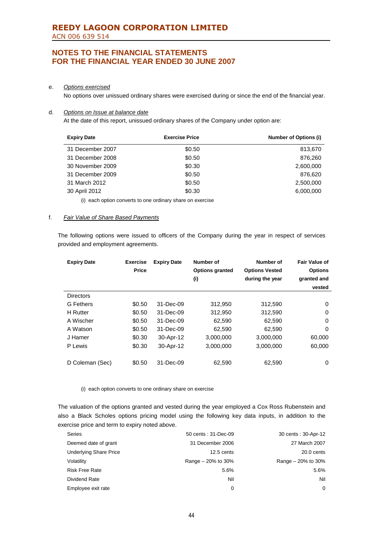### e. *Options exercised*

No options over unissued ordinary shares were exercised during or since the end of the financial year.

## d. *Options on Issue at balance date*

At the date of this report, unissued ordinary shares of the Company under option are:

| <b>Expiry Date</b> | <b>Exercise Price</b> | <b>Number of Options (i)</b> |
|--------------------|-----------------------|------------------------------|
| 31 December 2007   | \$0.50                | 813,670                      |
| 31 December 2008   | \$0.50                | 876,260                      |
| 30 November 2009   | \$0.30                | 2,600,000                    |
| 31 December 2009   | \$0.50                | 876.620                      |
| 31 March 2012      | \$0.50                | 2,500,000                    |
| 30 April 2012      | \$0.30                | 6,000,000                    |

(i) each option converts to one ordinary share on exercise

### f. *Fair Value of Share Based Payments*

The following options were issued to officers of the Company during the year in respect of services provided and employment agreements.

| <b>Expiry Date</b> | <b>Exercise</b><br>Price | <b>Expiry Date</b> | <b>Number of</b><br><b>Options granted</b><br>(i) | Number of<br><b>Options Vested</b><br>during the year | <b>Fair Value of</b><br><b>Options</b><br>granted and<br>vested |
|--------------------|--------------------------|--------------------|---------------------------------------------------|-------------------------------------------------------|-----------------------------------------------------------------|
| <b>Directors</b>   |                          |                    |                                                   |                                                       |                                                                 |
| <b>G</b> Fethers   | \$0.50                   | 31-Dec-09          | 312,950                                           | 312,590                                               | 0                                                               |
| <b>H</b> Rutter    | \$0.50                   | 31-Dec-09          | 312,950                                           | 312,590                                               | 0                                                               |
| A Wischer          | \$0.50                   | 31-Dec-09          | 62,590                                            | 62,590                                                | 0                                                               |
| A Watson           | \$0.50                   | 31-Dec-09          | 62,590                                            | 62,590                                                | 0                                                               |
| J Hamer            | \$0.30                   | 30-Apr-12          | 3,000,000                                         | 3,000,000                                             | 60,000                                                          |
| P Lewis            | \$0.30                   | 30-Apr-12          | 3,000,000                                         | 3,000,000                                             | 60,000                                                          |
| D Coleman (Sec)    | \$0.50                   | 31-Dec-09          | 62,590                                            | 62,590                                                | 0                                                               |

(i) each option converts to one ordinary share on exercise

The valuation of the options granted and vested during the year employed a Cox Ross Rubenstein and also a Black Scholes options pricing model using the following key data inputs, in addition to the exercise price and term to expiry noted above.

| Series                        | 50 cents: 31-Dec-09 | 30 cents: 30-Apr-12  |
|-------------------------------|---------------------|----------------------|
| Deemed date of grant          | 31 December 2006    | 27 March 2007        |
| <b>Underlying Share Price</b> | 12.5 cents          | 20.0 cents           |
| Volatility                    | Range - 20% to 30%  | Range $-20\%$ to 30% |
| <b>Risk Free Rate</b>         | 5.6%                | 5.6%                 |
| Dividend Rate                 | Nil                 | Nil                  |
| Employee exit rate            | 0                   | 0                    |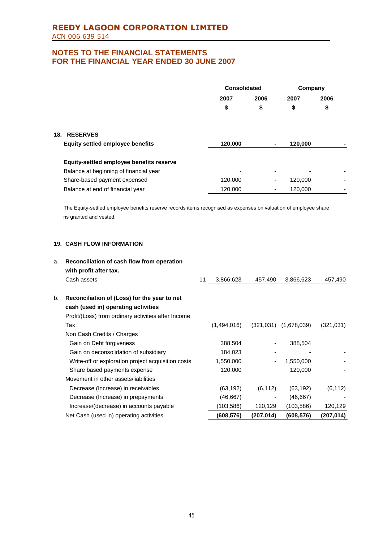|                                          | Consolidated |      | Company |      |
|------------------------------------------|--------------|------|---------|------|
|                                          | 2007         | 2006 | 2007    | 2006 |
|                                          | \$           | \$   | \$      | \$   |
| <b>RESERVES</b><br>18.                   |              |      |         |      |
| <b>Equity settled employee benefits</b>  | 120,000      | ٠    | 120,000 |      |
| Equity-settled employee benefits reserve |              |      |         |      |
| Balance at beginning of financial year   | -            |      |         |      |
| Share-based payment expensed             | 120,000      | ٠    | 120,000 |      |
| Balance at end of financial year         | 120.000      |      | 120.000 |      |

The Equity-settled employee benefits reserve records items recognised as expenses on valuation of employee share ns granted and vested.

## **19. CASH FLOW INFORMATION**

| a. | Reconciliation of cash flow from operation<br>with profit after tax. |    |             |                          |             |            |
|----|----------------------------------------------------------------------|----|-------------|--------------------------|-------------|------------|
|    | Cash assets                                                          | 11 | 3,866,623   | 457,490                  | 3,866,623   | 457,490    |
|    |                                                                      |    |             |                          |             |            |
| b. | Reconciliation of (Loss) for the year to net                         |    |             |                          |             |            |
|    | cash (used in) operating activities                                  |    |             |                          |             |            |
|    | Profit/(Loss) from ordinary activities after Income                  |    |             |                          |             |            |
|    | Tax                                                                  |    | (1,494,016) | (321, 031)               | (1,678,039) | (321, 031) |
|    | Non Cash Credits / Charges                                           |    |             |                          |             |            |
|    | Gain on Debt forgiveness                                             |    | 388,504     |                          | 388,504     |            |
|    | Gain on deconsolidation of subsidiary                                |    | 184,023     |                          |             |            |
|    | Write-off or exploration project acquisition costs                   |    | 1,550,000   | -                        | 1,550,000   |            |
|    | Share based payments expense                                         |    | 120,000     |                          | 120,000     |            |
|    | Movement in other assets/liabilities                                 |    |             |                          |             |            |
|    | Decrease (Increase) in receivables                                   |    | (63, 192)   | (6, 112)                 | (63, 192)   | (6, 112)   |
|    | Decrease (Increase) in prepayments                                   |    | (46, 667)   | $\overline{\phantom{a}}$ | (46, 667)   |            |
|    | Increase/(decrease) in accounts payable                              |    | (103,586)   | 120,129                  | (103, 586)  | 120,129    |
|    | Net Cash (used in) operating activities                              |    | (608,576)   | (207, 014)               | (608, 576)  | (207,014)  |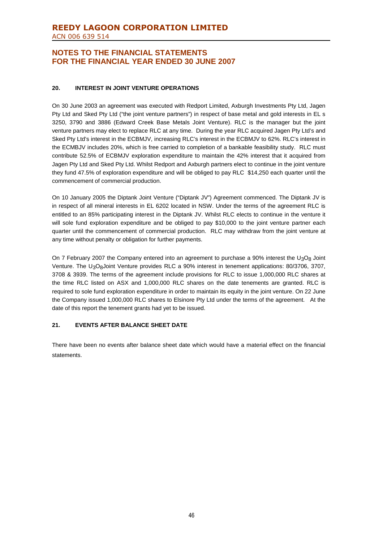# **REEDY LAGOON CORPORATION LIMITED** ACN 006 639 514

# **NOTES TO THE FINANCIAL STATEMENTS FOR THE FINANCIAL YEAR ENDED 30 JUNE 2007**

## **20. INTEREST IN JOINT VENTURE OPERATIONS**

On 30 June 2003 an agreement was executed with Redport Limited, Axburgh Investments Pty Ltd, Jagen Pty Ltd and Sked Pty Ltd ("the joint venture partners") in respect of base metal and gold interests in EL s 3250, 3790 and 3886 (Edward Creek Base Metals Joint Venture). RLC is the manager but the joint venture partners may elect to replace RLC at any time. During the year RLC acquired Jagen Pty Ltd's and Sked Pty Ltd's interest in the ECBMJV, increasing RLC's interest in the ECBMJV to 62%. RLC's interest in the ECMBJV includes 20%, which is free carried to completion of a bankable feasibility study. RLC must contribute 52.5% of ECBMJV exploration expenditure to maintain the 42% interest that it acquired from Jagen Pty Ltd and Sked Pty Ltd. Whilst Redport and Axburgh partners elect to continue in the joint venture they fund 47.5% of exploration expenditure and will be obliged to pay RLC \$14,250 each quarter until the commencement of commercial production.

On 10 January 2005 the Diptank Joint Venture ("Diptank JV") Agreement commenced. The Diptank JV is in respect of all mineral interests in EL 6202 located in NSW. Under the terms of the agreement RLC is entitled to an 85% participating interest in the Diptank JV. Whilst RLC elects to continue in the venture it will sole fund exploration expenditure and be obliged to pay \$10,000 to the joint venture partner each quarter until the commencement of commercial production. RLC may withdraw from the joint venture at any time without penalty or obligation for further payments.

On 7 February 2007 the Company entered into an agreement to purchase a 90% interest the  $U_3O_8$  Joint Venture. The U<sub>3</sub>O<sub>8</sub>Joint Venture provides RLC a 90% interest in tenement applications: 80/3706, 3707, 3708 & 3939. The terms of the agreement include provisions for RLC to issue 1,000,000 RLC shares at the time RLC listed on ASX and 1,000,000 RLC shares on the date tenements are granted. RLC is required to sole fund exploration expenditure in order to maintain its equity in the joint venture. On 22 June the Company issued 1,000,000 RLC shares to Elsinore Pty Ltd under the terms of the agreement. At the date of this report the tenement grants had yet to be issued.

## **21. EVENTS AFTER BALANCE SHEET DATE**

There have been no events after balance sheet date which would have a material effect on the financial statements.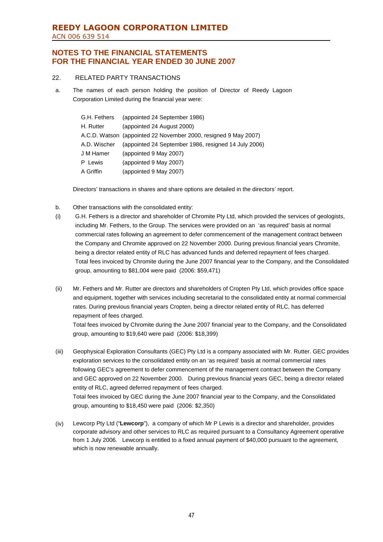# **REEDY LAGOON CORPORATION LIMITED** ACN 006 639 514

# **NOTES TO THE FINANCIAL STATEMENTS FOR THE FINANCIAL YEAR ENDED 30 JUNE 2007**

## 22. RELATED PARTY TRANSACTIONS

a. The names of each person holding the position of Director of Reedy Lagoon Corporation Limited during the financial year were:

| G.H. Fethers | (appointed 24 September 1986)                                   |
|--------------|-----------------------------------------------------------------|
| H. Rutter    | (appointed 24 August 2000)                                      |
|              | A.C.D. Watson (appointed 22 November 2000, resigned 9 May 2007) |
| A.D. Wischer | (appointed 24 September 1986, resigned 14 July 2006)            |
| J M Hamer    | (appointed 9 May 2007)                                          |
| P Lewis      | (appointed 9 May 2007)                                          |
| A Griffin    | (appointed 9 May 2007)                                          |

Directors' transactions in shares and share options are detailed in the directors' report.

- b. Other transactions with the consolidated entity:
- (i) G.H. Fethers is a director and shareholder of Chromite Pty Ltd, which provided the services of geologists, including Mr. Fethers, to the Group. The services were provided on an 'as required' basis at normal commercial rates following an agreement to defer commencement of the management contract between the Company and Chromite approved on 22 November 2000. During previous financial years Chromite, being a director related entity of RLC has advanced funds and deferred repayment of fees charged. Total fees invoiced by Chromite during the June 2007 financial year to the Company, and the Consolidated group, amounting to \$81,004 were paid (2006: \$59,471)
- (ii) Mr. Fethers and Mr. Rutter are directors and shareholders of Cropten Pty Ltd, which provides office space and equipment, together with services including secretarial to the consolidated entity at normal commercial rates. During previous financial years Cropten, being a director related entity of RLC, has deferred repayment of fees charged.

Total fees invoiced by Chromite during the June 2007 financial year to the Company, and the Consolidated group, amounting to \$19,640 were paid (2006: \$18,399)

- (iii) Geophysical Exploration Consultants (GEC) Pty Ltd is a company associated with Mr. Rutter. GEC provides exploration services to the consolidated entity on an 'as required' basis at normal commercial rates following GEC's agreement to defer commencement of the management contract between the Company and GEC approved on 22 November 2000. During previous financial years GEC, being a director related entity of RLC, agreed deferred repayment of fees charged. Total fees invoiced by GEC during the June 2007 financial year to the Company, and the Consolidated group, amounting to \$18,450 were paid (2006: \$2,350)
- (iv) Lewcorp Pty Ltd ("**Lewcorp**"), a company of which Mr P Lewis is a director and shareholder, provides corporate advisory and other services to RLC as required pursuant to a Consultancy Agreement operative from 1 July 2006. Lewcorp is entitled to a fixed annual payment of \$40,000 pursuant to the agreement, which is now renewable annually.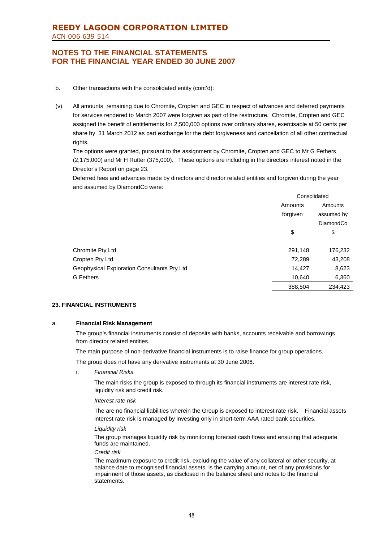- b. Other transactions with the consolidated entity (cont'd):
- (v) All amounts remaining due to Chromite, Cropten and GEC in respect of advances and deferred payments for services rendered to March 2007 were forgiven as part of the restructure. Chromite, Cropten and GEC assigned the benefit of entitlements for 2,500,000 options over ordinary shares, exercisable at 50 cents per share by 31 March 2012 as part exchange for the debt forgiveness and cancellation of all other contractual rights.

The options were granted, pursuant to the assignment by Chromite, Cropten and GEC to Mr G Fethers (2,175,000) and Mr H Rutter (375,000). These options are including in the directors interest noted in the Director's Report on page 23.

Deferred fees and advances made by directors and director related entities and forgiven during the year and assumed by DiamondCo were:

|                                             | Consolidated |            |
|---------------------------------------------|--------------|------------|
|                                             | Amounts      | Amounts    |
|                                             | forgiven     | assumed by |
|                                             |              | DiamondCo  |
|                                             | \$           | \$         |
| Chromite Pty Ltd                            | 291,148      | 176,232    |
| Cropten Pty Ltd                             | 72,289       | 43,208     |
| Geophysical Exploration Consultants Pty Ltd | 14,427       | 8,623      |
| <b>G</b> Fethers                            | 10,640       | 6,360      |
|                                             | 388,504      | 234,423    |

#### **23. FINANCIAL INSTRUMENTS**

#### a. **Financial Risk Management**

The group's financial instruments consist of deposits with banks, accounts receivable and borrowings from director related entities.

The main purpose of non-derivative financial instruments is to raise finance for group operations.

The group does not have any derivative instruments at 30 June 2006.

i. *Financial Risks*

The main risks the group is exposed to through its financial instruments are interest rate risk, liquidity risk and credit risk.

#### *Interest rate risk*

The are no financial liabilities wherein the Group is exposed to interest rate risk. Financial assets interest rate risk is managed by investing only in short-term AAA rated bank securities.

#### *Liquidity risk*

The group manages liquidity risk by monitoring forecast cash flows and ensuring that adequate funds are maintained.

#### *Credit risk*

The maximum exposure to credit risk, excluding the value of any collateral or other security, at balance date to recognised financial assets, is the carrying amount, net of any provisions for impairment of those assets, as disclosed in the balance sheet and notes to the financial statements.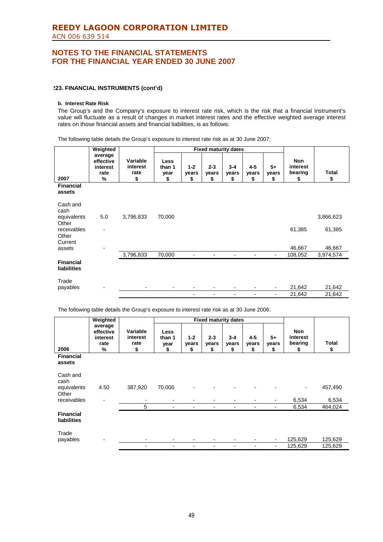### **223. FINANCIAL INSTRUMENTS (cont'd)**

#### **b. Interest Rate Risk**

The Group's and the Company's exposure to interest rate risk, which is the risk that a financial instrument's value will fluctuate as a result of changes in market interest rates and the effective weighted average interest rates on those financial assets and financial liabilities, is as follows:

The following table details the Group's exposure to interest rate risk as at 30 June 2007:

|                                        | Weighted                                                  |                                    | <b>Fixed maturity dates</b>         |                        |                          |                        |                          |                     |                                  |             |
|----------------------------------------|-----------------------------------------------------------|------------------------------------|-------------------------------------|------------------------|--------------------------|------------------------|--------------------------|---------------------|----------------------------------|-------------|
| 2007                                   | average<br>effective<br>interest<br>rate<br>$\frac{9}{6}$ | Variable<br>interest<br>rate<br>\$ | <b>Less</b><br>than 1<br>year<br>\$ | $1 - 2$<br>years<br>\$ | $2 - 3$<br>years<br>\$   | $3 - 4$<br>years<br>\$ | $4 - 5$<br>years<br>\$   | $5+$<br>years<br>\$ | Non<br>interest<br>bearing<br>\$ | Total<br>\$ |
| <b>Financial</b><br>assets             |                                                           |                                    |                                     |                        |                          |                        |                          |                     |                                  |             |
| Cash and<br>cash                       |                                                           |                                    |                                     |                        |                          |                        |                          |                     |                                  |             |
| equivalents<br>Other                   | 5.0                                                       | 3,796,833                          | 70,000                              |                        |                          |                        |                          |                     |                                  | 3,866,623   |
| receivables<br>Other                   | $\overline{a}$                                            |                                    |                                     |                        |                          |                        |                          |                     | 61,385                           | 61,385      |
| Current<br>assets                      | ۰                                                         |                                    |                                     |                        |                          |                        |                          |                     | 46,667                           | 46,667      |
|                                        |                                                           | 3,796,833                          | 70,000                              |                        | $\blacksquare$           | ٠                      |                          | -                   | 108,052                          | 3,974,574   |
| <b>Financial</b><br><b>liabilities</b> |                                                           |                                    |                                     |                        |                          |                        |                          |                     |                                  |             |
| Trade<br>payables                      |                                                           | -                                  | $\overline{\phantom{a}}$            |                        | $\overline{\phantom{a}}$ |                        |                          | ٠                   | 21,642                           | 21,642      |
|                                        |                                                           |                                    |                                     | Ξ.                     | Ξ.                       | ۰                      | $\overline{\phantom{0}}$ | ٠                   | 21,642                           | 21,642      |

The following table details the Group's exposure to interest rate risk as at 30 June 2006:

|                                 | Weighted                                      |                                    |                                     |                        |                        | <b>Fixed maturity dates</b> |                      |                     |                                         |                    |
|---------------------------------|-----------------------------------------------|------------------------------------|-------------------------------------|------------------------|------------------------|-----------------------------|----------------------|---------------------|-----------------------------------------|--------------------|
| 2006                            | average<br>effective<br>interest<br>rate<br>% | Variable<br>interest<br>rate<br>\$ | <b>Less</b><br>than 1<br>year<br>\$ | $1 - 2$<br>years<br>\$ | $2 - 3$<br>years<br>\$ | $3 - 4$<br>years<br>S       | $4-5$<br>years<br>\$ | $5+$<br>years<br>\$ | <b>Non</b><br>interest<br>bearing<br>\$ | <b>Total</b><br>\$ |
| <b>Financial</b><br>assets      |                                               |                                    |                                     |                        |                        |                             |                      |                     |                                         |                    |
| Cash and<br>cash                |                                               |                                    |                                     |                        |                        |                             |                      |                     |                                         |                    |
| equivalents<br>Other            | 4.50                                          | 387,920                            | 70,000                              |                        |                        |                             |                      |                     |                                         | 457,490            |
| receivables                     | $\overline{\phantom{a}}$                      |                                    | ۰                                   |                        | -                      |                             |                      |                     | 6,534                                   | 6,534              |
|                                 |                                               | 5                                  | $\blacksquare$                      |                        | ٠                      |                             |                      | $\overline{a}$      | 6,534                                   | 464,024            |
| <b>Financial</b><br>liabilities |                                               |                                    |                                     |                        |                        |                             |                      |                     |                                         |                    |
| Trade<br>payables               |                                               |                                    |                                     |                        | ۰                      |                             |                      | -                   | 125,629                                 | 125,629            |
|                                 |                                               | $\blacksquare$                     | -                                   |                        | ٠                      |                             |                      | -                   | 125,629                                 | 125,629            |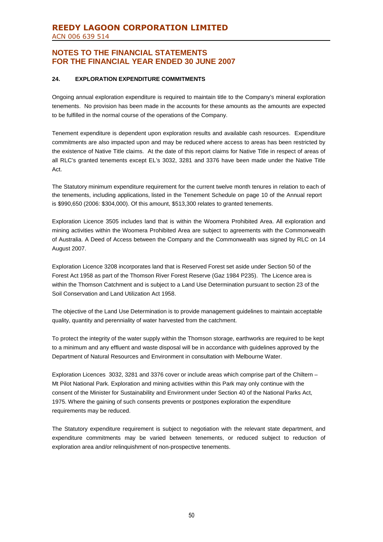## **24. EXPLORATION EXPENDITURE COMMITMENTS**

Ongoing annual exploration expenditure is required to maintain title to the Company's mineral exploration tenements. No provision has been made in the accounts for these amounts as the amounts are expected to be fulfilled in the normal course of the operations of the Company.

Tenement expenditure is dependent upon exploration results and available cash resources. Expenditure commitments are also impacted upon and may be reduced where access to areas has been restricted by the existence of Native Title claims. At the date of this report claims for Native Title in respect of areas of all RLC's granted tenements except EL's 3032, 3281 and 3376 have been made under the Native Title Act.

The Statutory minimum expenditure requirement for the current twelve month tenures in relation to each of the tenements, including applications, listed in the Tenement Schedule on page 10 of the Annual report is \$990,650 (2006: \$304,000). Of this amount, \$513,300 relates to granted tenements.

Exploration Licence 3505 includes land that is within the Woomera Prohibited Area. All exploration and mining activities within the Woomera Prohibited Area are subject to agreements with the Commonwealth of Australia. A Deed of Access between the Company and the Commonwealth was signed by RLC on 14 August 2007.

Exploration Licence 3208 incorporates land that is Reserved Forest set aside under Section 50 of the Forest Act 1958 as part of the Thomson River Forest Reserve (Gaz 1984 P235). The Licence area is within the Thomson Catchment and is subject to a Land Use Determination pursuant to section 23 of the Soil Conservation and Land Utilization Act 1958.

The objective of the Land Use Determination is to provide management guidelines to maintain acceptable quality, quantity and perenniality of water harvested from the catchment.

To protect the integrity of the water supply within the Thomson storage, earthworks are required to be kept to a minimum and any effluent and waste disposal will be in accordance with guidelines approved by the Department of Natural Resources and Environment in consultation with Melbourne Water.

Exploration Licences 3032, 3281 and 3376 cover or include areas which comprise part of the Chiltern – Mt Pilot National Park. Exploration and mining activities within this Park may only continue with the consent of the Minister for Sustainability and Environment under Section 40 of the National Parks Act, 1975. Where the gaining of such consents prevents or postpones exploration the expenditure requirements may be reduced.

The Statutory expenditure requirement is subject to negotiation with the relevant state department, and expenditure commitments may be varied between tenements, or reduced subject to reduction of exploration area and/or relinquishment of non-prospective tenements.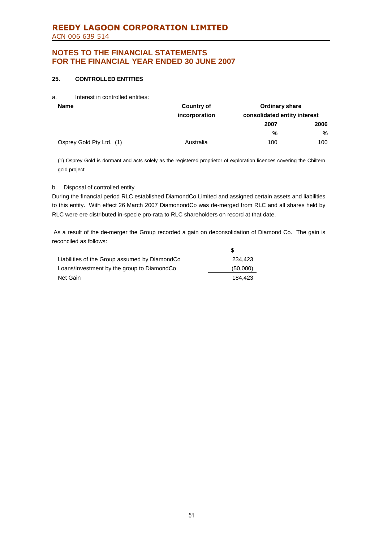# **REEDY LAGOON CORPORATION LIMITED** ACN 006 639 514

# **NOTES TO THE FINANCIAL STATEMENTS FOR THE FINANCIAL YEAR ENDED 30 JUNE 2007**

## **25. CONTROLLED ENTITIES**

a. Interest in controlled entities:

| <b>Name</b>              | <b>Country of</b> | <b>Ordinary share</b>        |      |  |  |
|--------------------------|-------------------|------------------------------|------|--|--|
|                          | incorporation     | consolidated entity interest |      |  |  |
|                          |                   | 2007                         | 2006 |  |  |
|                          |                   | %                            | %    |  |  |
| Osprey Gold Pty Ltd. (1) | Australia         | 100                          | 100  |  |  |

(1) Osprey Gold is dormant and acts solely as the registered proprietor of exploration licences covering the Chiltern gold project

## b. Disposal of controlled entity

During the financial period RLC established DiamondCo Limited and assigned certain assets and liabilities to this entity. With effect 26 March 2007 DiamonondCo was de-merged from RLC and all shares held by RLC were ere distributed in-specie pro-rata to RLC shareholders on record at that date.

As a result of the de-merger the Group recorded a gain on deconsolidation of Diamond Co. The gain is reconciled as follows:

| Liabilities of the Group assumed by DiamondCo | 234.423  |
|-----------------------------------------------|----------|
| Loans/Investment by the group to DiamondCo    | (50,000) |
| Net Gain                                      | 184.423  |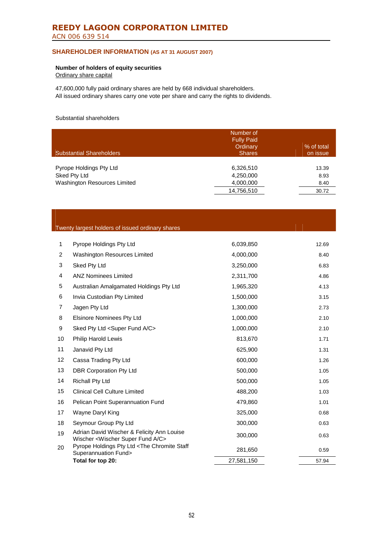# **REEDY LAGOON CORPORATION LIMITED** ACN 006 639 514

## **SHAREHOLDER INFORMATION (AS AT 31 AUGUST 2007)**

## **Number of holders of equity securities**

Ordinary share capital

47,600,000 fully paid ordinary shares are held by 668 individual shareholders. All issued ordinary shares carry one vote per share and carry the rights to dividends.

### Substantial shareholders

| <b>Substantial Shareholders</b> | Number of<br><b>Fully Paid</b><br>Ordinary<br><b>Shares</b> | % of total<br>on issue |
|---------------------------------|-------------------------------------------------------------|------------------------|
| Pyrope Holdings Pty Ltd         | 6,326,510                                                   | 13.39                  |
| Sked Pty Ltd                    | 4,250,000                                                   | 8.93                   |
| Washington Resources Limited    | 4,000,000                                                   | 8.40                   |
|                                 | 14,756,510                                                  | 30.72                  |

|                   | Twenty largest holders of issued ordinary shares                                                     |            |       |
|-------------------|------------------------------------------------------------------------------------------------------|------------|-------|
|                   |                                                                                                      |            |       |
| $\mathbf{1}$      | Pyrope Holdings Pty Ltd                                                                              | 6,039,850  | 12.69 |
| $\overline{2}$    | Washington Resources Limited                                                                         | 4,000,000  | 8.40  |
| 3                 | Sked Pty Ltd                                                                                         | 3,250,000  | 6.83  |
| 4                 | <b>ANZ Nominees Limited</b>                                                                          | 2,311,700  | 4.86  |
| 5                 | Australian Amalgamated Holdings Pty Ltd                                                              | 1,965,320  | 4.13  |
| 6                 | Invia Custodian Pty Limited                                                                          | 1,500,000  | 3.15  |
| $\overline{7}$    | Jagen Pty Ltd                                                                                        | 1,300,000  | 2.73  |
| 8                 | <b>Elsinore Nominees Pty Ltd</b>                                                                     | 1,000,000  | 2.10  |
| 9                 | Sked Pty Ltd <super a="" c="" fund=""></super>                                                       | 1,000,000  | 2.10  |
| 10                | <b>Philip Harold Lewis</b>                                                                           | 813,670    | 1.71  |
| 11                | Janavid Pty Ltd                                                                                      | 625,900    | 1.31  |
| $12 \overline{ }$ | Cassa Trading Pty Ltd                                                                                | 600,000    | 1.26  |
| 13                | DBR Corporation Pty Ltd                                                                              | 500,000    | 1.05  |
| 14                | <b>Richall Pty Ltd</b>                                                                               | 500,000    | 1.05  |
| 15                | <b>Clinical Cell Culture Limited</b>                                                                 | 488,200    | 1.03  |
| 16                | Pelican Point Superannuation Fund                                                                    | 479,860    | 1.01  |
| 17                | Wayne Daryl King                                                                                     | 325,000    | 0.68  |
| 18                | Seymour Group Pty Ltd                                                                                | 300,000    | 0.63  |
| 19                | Adrian David Wischer & Felicity Ann Louise<br>Wischer <wischer a="" c="" fund="" super=""></wischer> | 300,000    | 0.63  |
| 20                | Pyrope Holdings Pty Ltd <the chromite="" staff<br="">Superannuation Fund&gt;</the>                   | 281,650    | 0.59  |
|                   | Total for top 20:                                                                                    | 27,581,150 | 57.94 |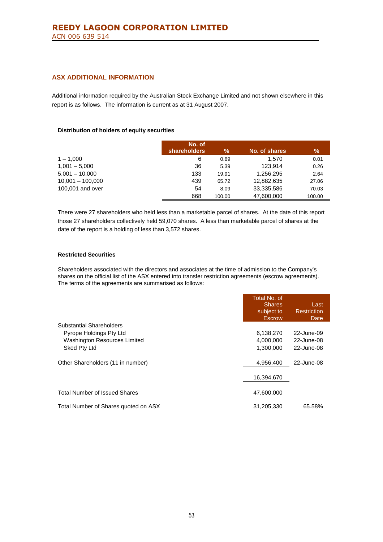## **ASX ADDITIONAL INFORMATION**

Additional information required by the Australian Stock Exchange Limited and not shown elsewhere in this report is as follows. The information is current as at 31 August 2007.

### **Distribution of holders of equity securities**

|                    | No. of              |        |               |        |
|--------------------|---------------------|--------|---------------|--------|
|                    | <b>shareholders</b> | $\%$   | No. of shares | %      |
| $1 - 1.000$        | 6                   | 0.89   | 1.570         | 0.01   |
| $1,001 - 5,000$    | 36                  | 5.39   | 123.914       | 0.26   |
| $5,001 - 10,000$   | 133                 | 19.91  | 1.256.295     | 2.64   |
| $10,001 - 100,000$ | 439                 | 65.72  | 12,882,635    | 27.06  |
| 100,001 and over   | 54                  | 8.09   | 33,335,586    | 70.03  |
|                    | 668                 | 100.00 | 47.600.000    | 100.00 |

There were 27 shareholders who held less than a marketable parcel of shares. At the date of this report those 27 shareholders collectively held 59,070 shares. A less than marketable parcel of shares at the date of the report is a holding of less than 3,572 shares.

### **Restricted Securities**

Shareholders associated with the directors and associates at the time of admission to the Company's shares on the official list of the ASX entered into transfer restriction agreements (escrow agreements). The terms of the agreements are summarised as follows:

|                                      | Total No. of<br><b>Shares</b><br>subject to<br><b>Escrow</b> | Last<br><b>Restriction</b><br>Date |
|--------------------------------------|--------------------------------------------------------------|------------------------------------|
| Substantial Shareholders             |                                                              |                                    |
| Pyrope Holdings Pty Ltd              | 6,138,270                                                    | 22-June-09                         |
| <b>Washington Resources Limited</b>  | 4,000,000                                                    | 22-June-08                         |
| Sked Pty Ltd                         | 1,300,000                                                    | 22-June-08                         |
| Other Shareholders (11 in number)    | 4,956,400                                                    | 22-June-08                         |
|                                      | 16,394,670                                                   |                                    |
| <b>Total Number of Issued Shares</b> | 47,600,000                                                   |                                    |
| Total Number of Shares quoted on ASX | 31,205,330                                                   | 65.58%                             |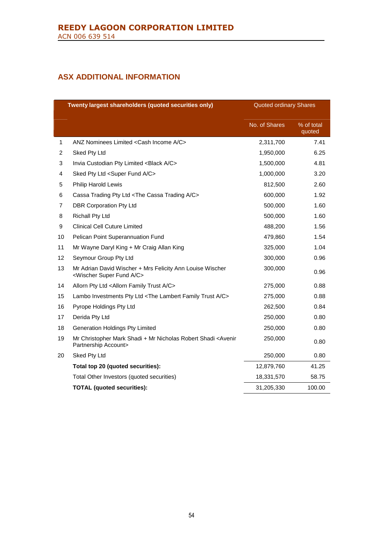# **ASX ADDITIONAL INFORMATION**

|    | Twenty largest shareholders (quoted securities only)<br><b>Quoted ordinary Shares</b>                       |               |                      |
|----|-------------------------------------------------------------------------------------------------------------|---------------|----------------------|
|    |                                                                                                             | No. of Shares | % of total<br>quoted |
| 1  | ANZ Nominees Limited <cash a="" c="" income=""></cash>                                                      | 2,311,700     | 7.41                 |
| 2  | Sked Pty Ltd                                                                                                | 1,950,000     | 6.25                 |
| 3  | Invia Custodian Pty Limited <black a="" c=""></black>                                                       | 1,500,000     | 4.81                 |
| 4  | Sked Pty Ltd <super a="" c="" fund=""></super>                                                              | 1,000,000     | 3.20                 |
| 5  | <b>Philip Harold Lewis</b>                                                                                  | 812,500       | 2.60                 |
| 6  | Cassa Trading Pty Ltd <the a="" c="" cassa="" trading=""></the>                                             | 600,000       | 1.92                 |
| 7  | <b>DBR Corporation Pty Ltd</b>                                                                              | 500,000       | 1.60                 |
| 8  | <b>Richall Pty Ltd</b>                                                                                      | 500,000       | 1.60                 |
| 9  | <b>Clinical Cell Cuture Limited</b>                                                                         | 488,200       | 1.56                 |
| 10 | Pelican Point Superannuation Fund                                                                           | 479,860       | 1.54                 |
| 11 | Mr Wayne Daryl King + Mr Craig Allan King                                                                   | 325,000       | 1.04                 |
| 12 | Seymour Group Pty Ltd                                                                                       | 300,000       | 0.96                 |
| 13 | Mr Adrian David Wischer + Mrs Felicity Ann Louise Wischer<br><wischer a="" c="" fund="" super=""></wischer> | 300,000       | 0.96                 |
| 14 | Allorn Pty Ltd <allorn a="" c="" family="" trust=""></allorn>                                               | 275,000       | 0.88                 |
| 15 | Lambo Investments Pty Ltd <the a="" c="" family="" lambert="" trust=""></the>                               | 275,000       | 0.88                 |
| 16 | Pyrope Holdings Pty Ltd                                                                                     | 262,500       | 0.84                 |
| 17 | Derida Pty Ltd                                                                                              | 250,000       | 0.80                 |
| 18 | Generation Holdings Pty Limited                                                                             | 250,000       | 0.80                 |
| 19 | Mr Christopher Mark Shadi + Mr Nicholas Robert Shadi <avenir<br>Partnership Account&gt;</avenir<br>         | 250,000       | 0.80                 |
| 20 | Sked Pty Ltd                                                                                                | 250,000       | 0.80                 |
|    | Total top 20 (quoted securities):                                                                           | 12,879,760    | 41.25                |
|    | Total Other Investors (quoted securities)                                                                   | 18,331,570    | 58.75                |
|    | <b>TOTAL (quoted securities):</b>                                                                           | 31,205,330    | 100.00               |